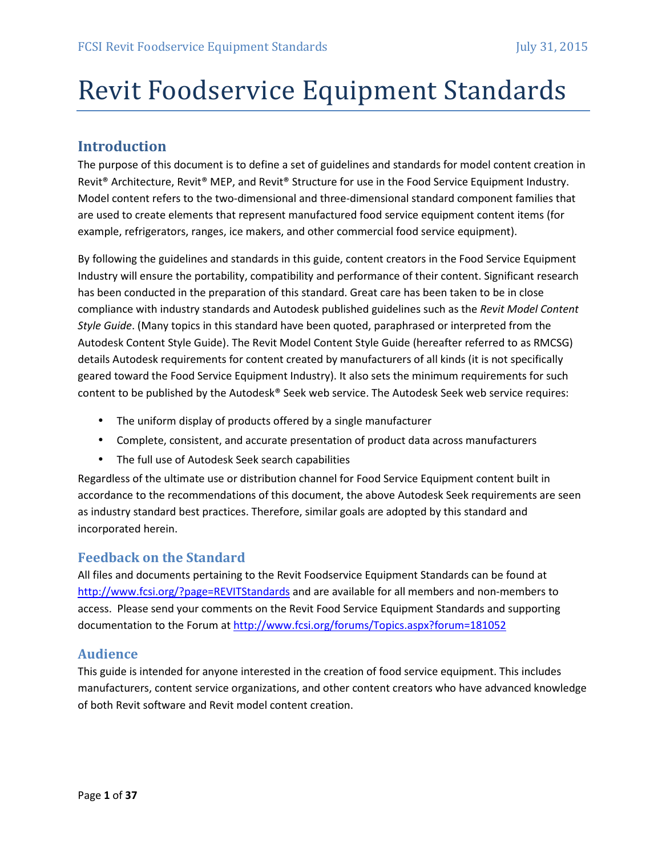# Revit Foodservice Equipment Standards

# **Introduction**

The purpose of this document is to define a set of guidelines and standards for model content creation in Revit® Architecture, Revit® MEP, and Revit® Structure for use in the Food Service Equipment Industry. Model content refers to the two-dimensional and three-dimensional standard component families that are used to create elements that represent manufactured food service equipment content items (for example, refrigerators, ranges, ice makers, and other commercial food service equipment).

By following the guidelines and standards in this guide, content creators in the Food Service Equipment Industry will ensure the portability, compatibility and performance of their content. Significant research has been conducted in the preparation of this standard. Great care has been taken to be in close compliance with industry standards and Autodesk published guidelines such as the *Revit Model Content Style Guide*. (Many topics in this standard have been quoted, paraphrased or interpreted from the Autodesk Content Style Guide). The Revit Model Content Style Guide (hereafter referred to as RMCSG) details Autodesk requirements for content created by manufacturers of all kinds (it is not specifically geared toward the Food Service Equipment Industry). It also sets the minimum requirements for such content to be published by the Autodesk® Seek web service. The Autodesk Seek web service requires:

- The uniform display of products offered by a single manufacturer
- Complete, consistent, and accurate presentation of product data across manufacturers
- The full use of Autodesk Seek search capabilities

Regardless of the ultimate use or distribution channel for Food Service Equipment content built in accordance to the recommendations of this document, the above Autodesk Seek requirements are seen as industry standard best practices. Therefore, similar goals are adopted by this standard and incorporated herein.

#### **Feedback on the Standard**

All files and documents pertaining to the Revit Foodservice Equipment Standards can be found at http://www.fcsi.org/?page=REVITStandards and are available for all members and non-members to access. Please send your comments on the Revit Food Service Equipment Standards and supporting documentation to the Forum at http://www.fcsi.org/forums/Topics.aspx?forum=181052

#### **Audience**

This guide is intended for anyone interested in the creation of food service equipment. This includes manufacturers, content service organizations, and other content creators who have advanced knowledge of both Revit software and Revit model content creation.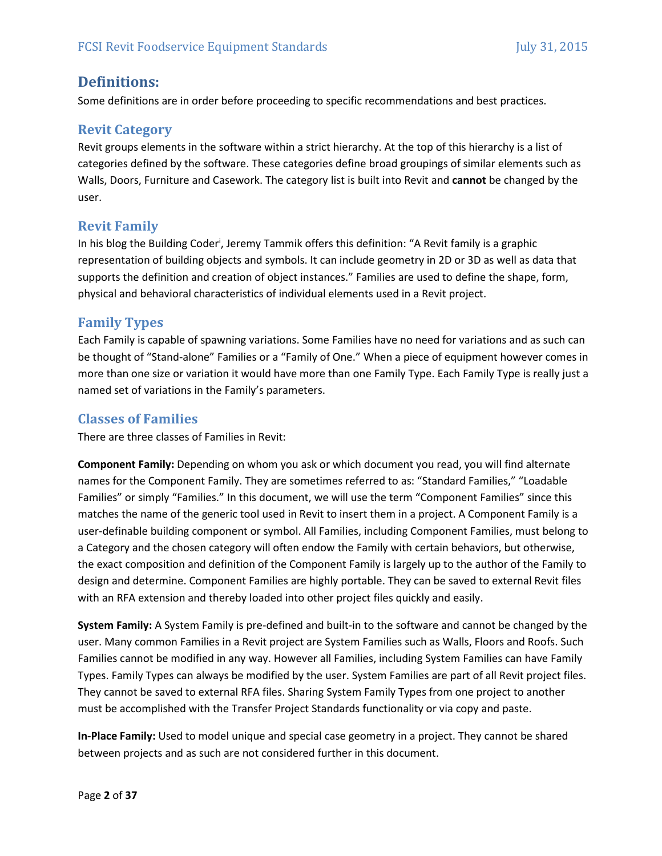# **Definitions:**

Some definitions are in order before proceeding to specific recommendations and best practices.

#### **Revit Category**

Revit groups elements in the software within a strict hierarchy. At the top of this hierarchy is a list of categories defined by the software. These categories define broad groupings of similar elements such as Walls, Doors, Furniture and Casework. The category list is built into Revit and **cannot** be changed by the user.

#### **Revit Family**

In his blog the Building Coder<sup>i</sup>, Jeremy Tammik offers this definition: "A Revit family is a graphic representation of building objects and symbols. It can include geometry in 2D or 3D as well as data that supports the definition and creation of object instances." Families are used to define the shape, form, physical and behavioral characteristics of individual elements used in a Revit project.

#### **Family Types**

Each Family is capable of spawning variations. Some Families have no need for variations and as such can be thought of "Stand‐alone" Families or a "Family of One." When a piece of equipment however comes in more than one size or variation it would have more than one Family Type. Each Family Type is really just a named set of variations in the Family's parameters.

#### **Classes of Families**

There are three classes of Families in Revit:

**Component Family:** Depending on whom you ask or which document you read, you will find alternate names for the Component Family. They are sometimes referred to as: "Standard Families," "Loadable Families" or simply "Families." In this document, we will use the term "Component Families" since this matches the name of the generic tool used in Revit to insert them in a project. A Component Family is a user-definable building component or symbol. All Families, including Component Families, must belong to a Category and the chosen category will often endow the Family with certain behaviors, but otherwise, the exact composition and definition of the Component Family is largely up to the author of the Family to design and determine. Component Families are highly portable. They can be saved to external Revit files with an RFA extension and thereby loaded into other project files quickly and easily.

**System Family:** A System Family is pre‐defined and built‐in to the software and cannot be changed by the user. Many common Families in a Revit project are System Families such as Walls, Floors and Roofs. Such Families cannot be modified in any way. However all Families, including System Families can have Family Types. Family Types can always be modified by the user. System Families are part of all Revit project files. They cannot be saved to external RFA files. Sharing System Family Types from one project to another must be accomplished with the Transfer Project Standards functionality or via copy and paste.

**In-Place Family:** Used to model unique and special case geometry in a project. They cannot be shared between projects and as such are not considered further in this document.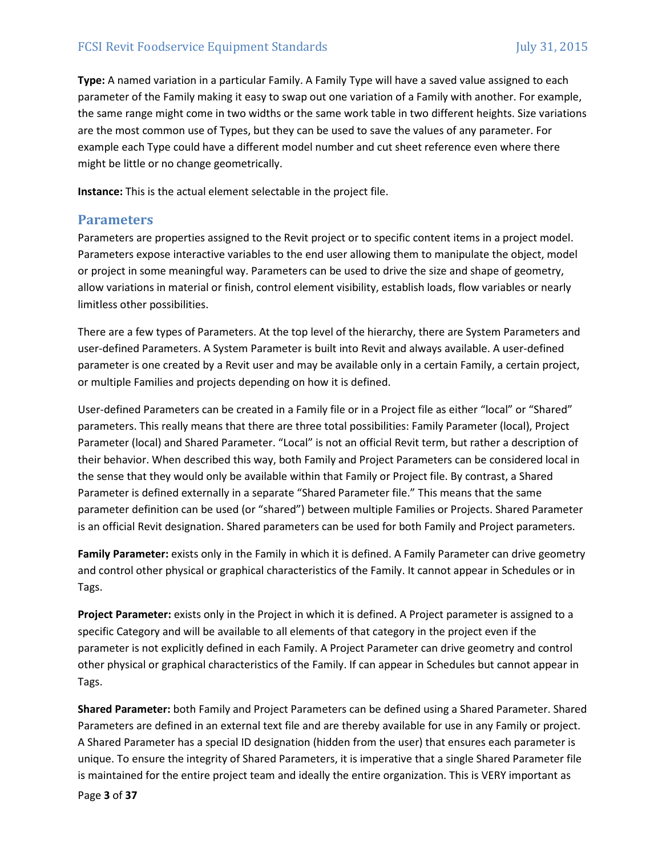**Type:** A named variation in a particular Family. A Family Type will have a saved value assigned to each parameter of the Family making it easy to swap out one variation of a Family with another. For example, the same range might come in two widths or the same work table in two different heights. Size variations are the most common use of Types, but they can be used to save the values of any parameter. For example each Type could have a different model number and cut sheet reference even where there might be little or no change geometrically.

**Instance:** This is the actual element selectable in the project file.

#### **Parameters**

Parameters are properties assigned to the Revit project or to specific content items in a project model. Parameters expose interactive variables to the end user allowing them to manipulate the object, model or project in some meaningful way. Parameters can be used to drive the size and shape of geometry, allow variations in material or finish, control element visibility, establish loads, flow variables or nearly limitless other possibilities.

There are a few types of Parameters. At the top level of the hierarchy, there are System Parameters and user‐defined Parameters. A System Parameter is built into Revit and always available. A user‐defined parameter is one created by a Revit user and may be available only in a certain Family, a certain project, or multiple Families and projects depending on how it is defined.

User-defined Parameters can be created in a Family file or in a Project file as either "local" or "Shared" parameters. This really means that there are three total possibilities: Family Parameter (local), Project Parameter (local) and Shared Parameter. "Local" is not an official Revit term, but rather a description of their behavior. When described this way, both Family and Project Parameters can be considered local in the sense that they would only be available within that Family or Project file. By contrast, a Shared Parameter is defined externally in a separate "Shared Parameter file." This means that the same parameter definition can be used (or "shared") between multiple Families or Projects. Shared Parameter is an official Revit designation. Shared parameters can be used for both Family and Project parameters.

**Family Parameter:** exists only in the Family in which it is defined. A Family Parameter can drive geometry and control other physical or graphical characteristics of the Family. It cannot appear in Schedules or in Tags.

**Project Parameter:** exists only in the Project in which it is defined. A Project parameter is assigned to a specific Category and will be available to all elements of that category in the project even if the parameter is not explicitly defined in each Family. A Project Parameter can drive geometry and control other physical or graphical characteristics of the Family. If can appear in Schedules but cannot appear in Tags.

**Shared Parameter:** both Family and Project Parameters can be defined using a Shared Parameter. Shared Parameters are defined in an external text file and are thereby available for use in any Family or project. A Shared Parameter has a special ID designation (hidden from the user) that ensures each parameter is unique. To ensure the integrity of Shared Parameters, it is imperative that a single Shared Parameter file is maintained for the entire project team and ideally the entire organization. This is VERY important as

Page **3** of **37**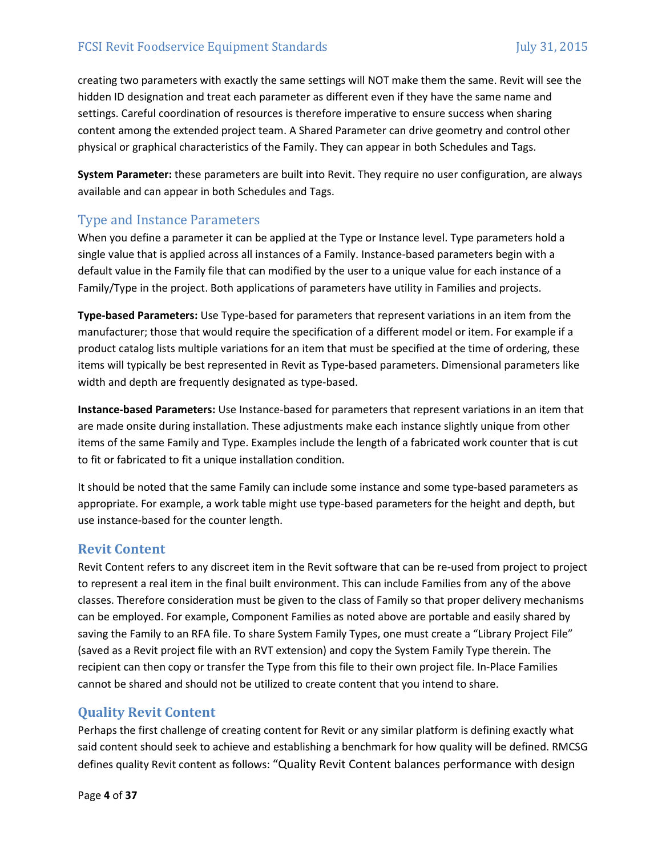creating two parameters with exactly the same settings will NOT make them the same. Revit will see the hidden ID designation and treat each parameter as different even if they have the same name and settings. Careful coordination of resources is therefore imperative to ensure success when sharing content among the extended project team. A Shared Parameter can drive geometry and control other physical or graphical characteristics of the Family. They can appear in both Schedules and Tags.

**System Parameter:** these parameters are built into Revit. They require no user configuration, are always available and can appear in both Schedules and Tags.

# Type and Instance Parameters

When you define a parameter it can be applied at the Type or Instance level. Type parameters hold a single value that is applied across all instances of a Family. Instance-based parameters begin with a default value in the Family file that can modified by the user to a unique value for each instance of a Family/Type in the project. Both applications of parameters have utility in Families and projects.

**Type-based Parameters:** Use Type‐based for parameters that represent variations in an item from the manufacturer; those that would require the specification of a different model or item. For example if a product catalog lists multiple variations for an item that must be specified at the time of ordering, these items will typically be best represented in Revit as Type‐based parameters. Dimensional parameters like width and depth are frequently designated as type-based.

**Instance-based Parameters:** Use Instance‐based for parameters that represent variations in an item that are made onsite during installation. These adjustments make each instance slightly unique from other items of the same Family and Type. Examples include the length of a fabricated work counter that is cut to fit or fabricated to fit a unique installation condition.

It should be noted that the same Family can include some instance and some type‐based parameters as appropriate. For example, a work table might use type‐based parameters for the height and depth, but use instance‐based for the counter length.

# **Revit Content**

Revit Content refers to any discreet item in the Revit software that can be re‐used from project to project to represent a real item in the final built environment. This can include Families from any of the above classes. Therefore consideration must be given to the class of Family so that proper delivery mechanisms can be employed. For example, Component Families as noted above are portable and easily shared by saving the Family to an RFA file. To share System Family Types, one must create a "Library Project File" (saved as a Revit project file with an RVT extension) and copy the System Family Type therein. The recipient can then copy or transfer the Type from this file to their own project file. In‐Place Families cannot be shared and should not be utilized to create content that you intend to share.

# **Quality Revit Content**

Perhaps the first challenge of creating content for Revit or any similar platform is defining exactly what said content should seek to achieve and establishing a benchmark for how quality will be defined. RMCSG defines quality Revit content as follows: "Quality Revit Content balances performance with design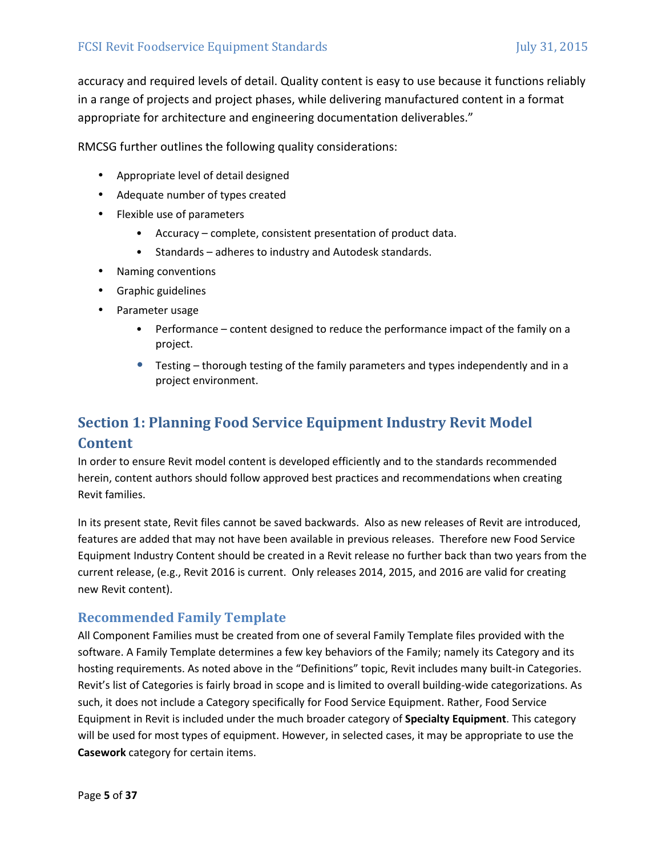accuracy and required levels of detail. Quality content is easy to use because it functions reliably in a range of projects and project phases, while delivering manufactured content in a format appropriate for architecture and engineering documentation deliverables."

RMCSG further outlines the following quality considerations:

- Appropriate level of detail designed
- Adequate number of types created
- Flexible use of parameters
	- Accuracy complete, consistent presentation of product data.
	- Standards adheres to industry and Autodesk standards.
- Naming conventions
- Graphic guidelines
- Parameter usage
	- Performance content designed to reduce the performance impact of the family on a project.
	- Testing thorough testing of the family parameters and types independently and in a project environment.

# **Section 1: Planning Food Service Equipment Industry Revit Model Content**

In order to ensure Revit model content is developed efficiently and to the standards recommended herein, content authors should follow approved best practices and recommendations when creating Revit families.

In its present state, Revit files cannot be saved backwards. Also as new releases of Revit are introduced, features are added that may not have been available in previous releases. Therefore new Food Service Equipment Industry Content should be created in a Revit release no further back than two years from the current release, (e.g., Revit 2016 is current. Only releases 2014, 2015, and 2016 are valid for creating new Revit content).

# **Recommended Family Template**

All Component Families must be created from one of several Family Template files provided with the software. A Family Template determines a few key behaviors of the Family; namely its Category and its hosting requirements. As noted above in the "Definitions" topic, Revit includes many built-in Categories. Revit's list of Categories is fairly broad in scope and is limited to overall building-wide categorizations. As such, it does not include a Category specifically for Food Service Equipment. Rather, Food Service Equipment in Revit is included under the much broader category of **Specialty Equipment**. This category will be used for most types of equipment. However, in selected cases, it may be appropriate to use the **Casework** category for certain items.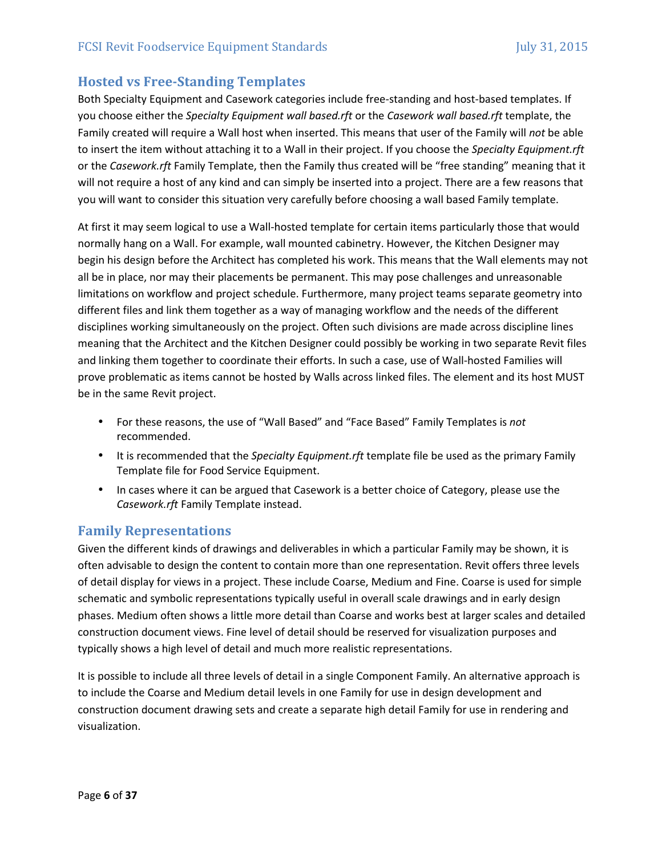# **Hosted vs Free-Standing Templates**

Both Specialty Equipment and Casework categories include free‐standing and host‐based templates. If you choose either the *Specialty Equipment wall based.rft* or the *Casework wall based.rft* template, the Family created will require a Wall host when inserted. This means that user of the Family will *not* be able to insert the item without attaching it to a Wall in their project. If you choose the *Specialty Equipment.rft*  or the *Casework.rft* Family Template, then the Family thus created will be "free standing" meaning that it will not require a host of any kind and can simply be inserted into a project. There are a few reasons that you will want to consider this situation very carefully before choosing a wall based Family template.

At first it may seem logical to use a Wall‐hosted template for certain items particularly those that would normally hang on a Wall. For example, wall mounted cabinetry. However, the Kitchen Designer may begin his design before the Architect has completed his work. This means that the Wall elements may not all be in place, nor may their placements be permanent. This may pose challenges and unreasonable limitations on workflow and project schedule. Furthermore, many project teams separate geometry into different files and link them together as a way of managing workflow and the needs of the different disciplines working simultaneously on the project. Often such divisions are made across discipline lines meaning that the Architect and the Kitchen Designer could possibly be working in two separate Revit files and linking them together to coordinate their efforts. In such a case, use of Wall-hosted Families will prove problematic as items cannot be hosted by Walls across linked files. The element and its host MUST be in the same Revit project.

- For these reasons, the use of "Wall Based" and "Face Based" Family Templates is *not* recommended.
- It is recommended that the *Specialty Equipment.rft* template file be used as the primary Family Template file for Food Service Equipment.
- In cases where it can be argued that Casework is a better choice of Category, please use the *Casework.rft* Family Template instead.

#### **Family Representations**

Given the different kinds of drawings and deliverables in which a particular Family may be shown, it is often advisable to design the content to contain more than one representation. Revit offers three levels of detail display for views in a project. These include Coarse, Medium and Fine. Coarse is used for simple schematic and symbolic representations typically useful in overall scale drawings and in early design phases. Medium often shows a little more detail than Coarse and works best at larger scales and detailed construction document views. Fine level of detail should be reserved for visualization purposes and typically shows a high level of detail and much more realistic representations.

It is possible to include all three levels of detail in a single Component Family. An alternative approach is to include the Coarse and Medium detail levels in one Family for use in design development and construction document drawing sets and create a separate high detail Family for use in rendering and visualization.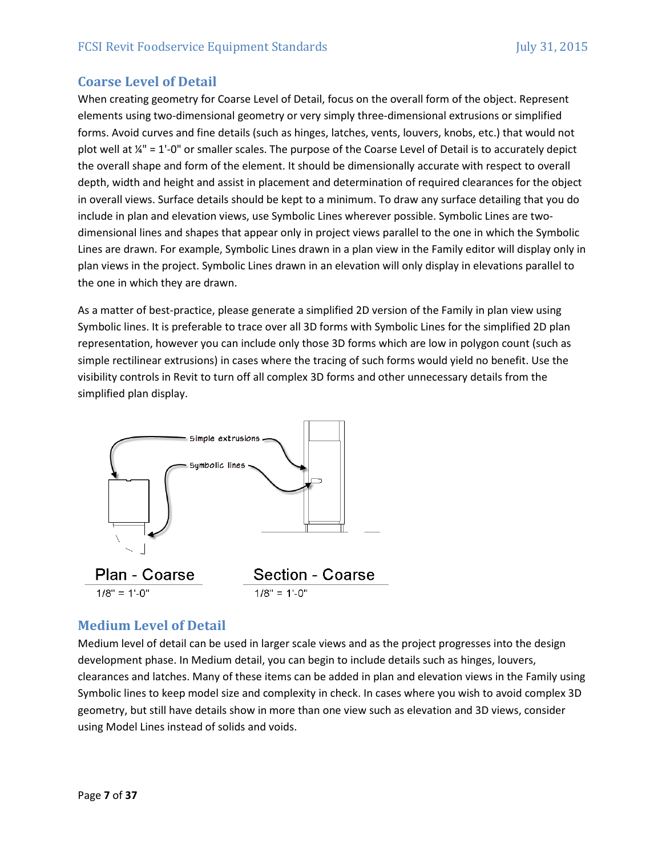# **Coarse Level of Detail**

When creating geometry for Coarse Level of Detail, focus on the overall form of the object. Represent elements using two‐dimensional geometry or very simply three‐dimensional extrusions or simplified forms. Avoid curves and fine details (such as hinges, latches, vents, louvers, knobs, etc.) that would not plot well at ¼" = 1'‐0" or smaller scales. The purpose of the Coarse Level of Detail is to accurately depict the overall shape and form of the element. It should be dimensionally accurate with respect to overall depth, width and height and assist in placement and determination of required clearances for the object in overall views. Surface details should be kept to a minimum. To draw any surface detailing that you do include in plan and elevation views, use Symbolic Lines wherever possible. Symbolic Lines are twodimensional lines and shapes that appear only in project views parallel to the one in which the Symbolic Lines are drawn. For example, Symbolic Lines drawn in a plan view in the Family editor will display only in plan views in the project. Symbolic Lines drawn in an elevation will only display in elevations parallel to the one in which they are drawn.

As a matter of best‐practice, please generate a simplified 2D version of the Family in plan view using Symbolic lines. It is preferable to trace over all 3D forms with Symbolic Lines for the simplified 2D plan representation, however you can include only those 3D forms which are low in polygon count (such as simple rectilinear extrusions) in cases where the tracing of such forms would yield no benefit. Use the visibility controls in Revit to turn off all complex 3D forms and other unnecessary details from the simplified plan display.



#### **Medium Level of Detail**

Medium level of detail can be used in larger scale views and as the project progresses into the design development phase. In Medium detail, you can begin to include details such as hinges, louvers, clearances and latches. Many of these items can be added in plan and elevation views in the Family using Symbolic lines to keep model size and complexity in check. In cases where you wish to avoid complex 3D geometry, but still have details show in more than one view such as elevation and 3D views, consider using Model Lines instead of solids and voids.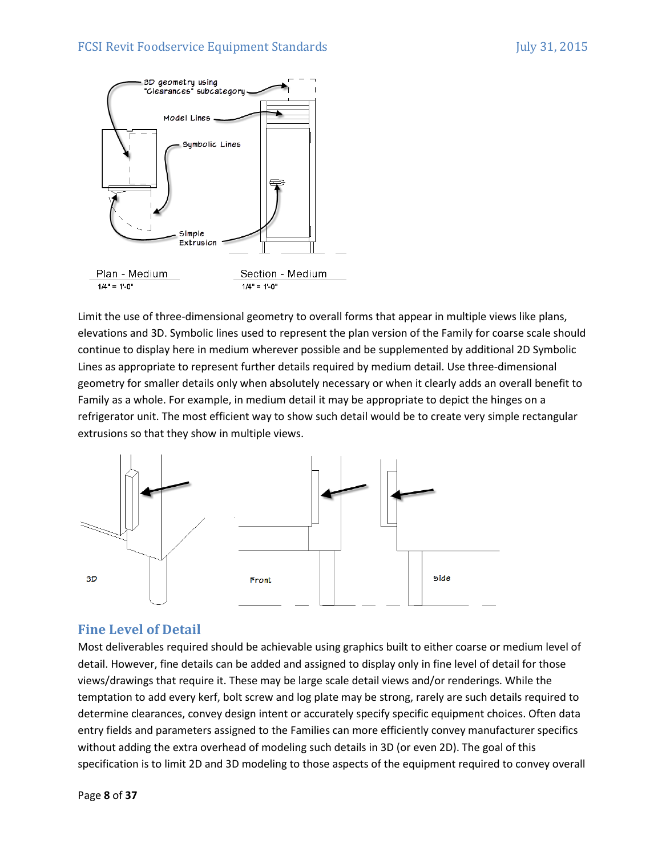

Limit the use of three-dimensional geometry to overall forms that appear in multiple views like plans, elevations and 3D. Symbolic lines used to represent the plan version of the Family for coarse scale should continue to display here in medium wherever possible and be supplemented by additional 2D Symbolic Lines as appropriate to represent further details required by medium detail. Use three‐dimensional geometry for smaller details only when absolutely necessary or when it clearly adds an overall benefit to Family as a whole. For example, in medium detail it may be appropriate to depict the hinges on a refrigerator unit. The most efficient way to show such detail would be to create very simple rectangular extrusions so that they show in multiple views.



# **Fine Level of Detail**

Most deliverables required should be achievable using graphics built to either coarse or medium level of detail. However, fine details can be added and assigned to display only in fine level of detail for those views/drawings that require it. These may be large scale detail views and/or renderings. While the temptation to add every kerf, bolt screw and log plate may be strong, rarely are such details required to determine clearances, convey design intent or accurately specify specific equipment choices. Often data entry fields and parameters assigned to the Families can more efficiently convey manufacturer specifics without adding the extra overhead of modeling such details in 3D (or even 2D). The goal of this specification is to limit 2D and 3D modeling to those aspects of the equipment required to convey overall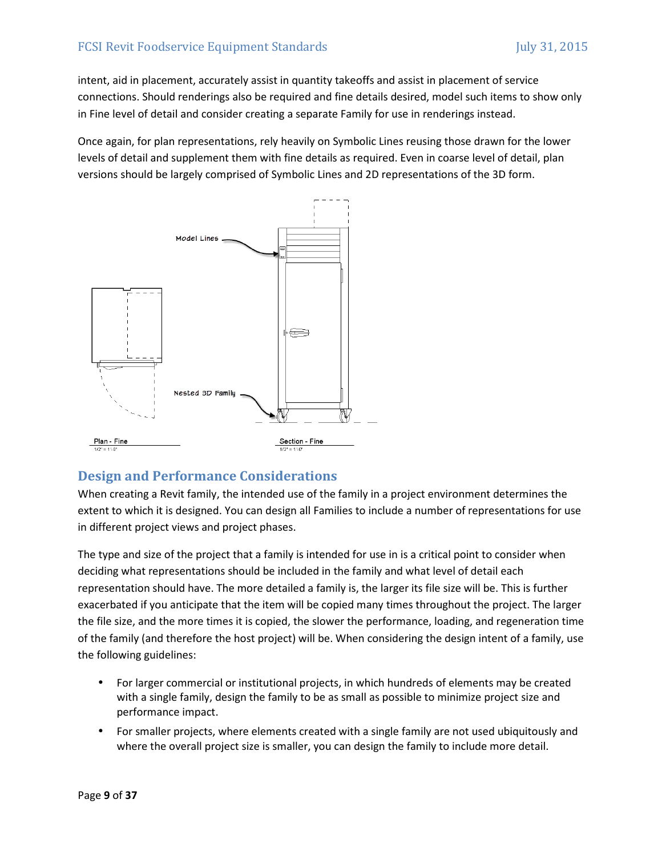intent, aid in placement, accurately assist in quantity takeoffs and assist in placement of service connections. Should renderings also be required and fine details desired, model such items to show only in Fine level of detail and consider creating a separate Family for use in renderings instead.

Once again, for plan representations, rely heavily on Symbolic Lines reusing those drawn for the lower levels of detail and supplement them with fine details as required. Even in coarse level of detail, plan versions should be largely comprised of Symbolic Lines and 2D representations of the 3D form.



# **Design and Performance Considerations**

When creating a Revit family, the intended use of the family in a project environment determines the extent to which it is designed. You can design all Families to include a number of representations for use in different project views and project phases.

The type and size of the project that a family is intended for use in is a critical point to consider when deciding what representations should be included in the family and what level of detail each representation should have. The more detailed a family is, the larger its file size will be. This is further exacerbated if you anticipate that the item will be copied many times throughout the project. The larger the file size, and the more times it is copied, the slower the performance, loading, and regeneration time of the family (and therefore the host project) will be. When considering the design intent of a family, use the following guidelines:

- For larger commercial or institutional projects, in which hundreds of elements may be created with a single family, design the family to be as small as possible to minimize project size and performance impact.
- For smaller projects, where elements created with a single family are not used ubiquitously and where the overall project size is smaller, you can design the family to include more detail.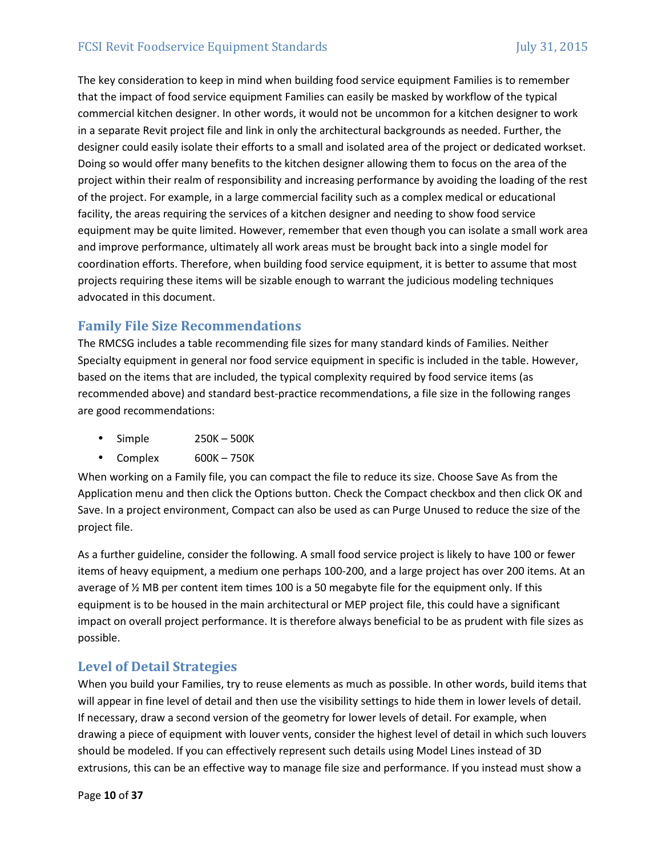The key consideration to keep in mind when building food service equipment Families is to remember that the impact of food service equipment Families can easily be masked by workflow of the typical commercial kitchen designer. In other words, it would not be uncommon for a kitchen designer to work in a separate Revit project file and link in only the architectural backgrounds as needed. Further, the designer could easily isolate their efforts to a small and isolated area of the project or dedicated workset. Doing so would offer many benefits to the kitchen designer allowing them to focus on the area of the project within their realm of responsibility and increasing performance by avoiding the loading of the rest of the project. For example, in a large commercial facility such as a complex medical or educational facility, the areas requiring the services of a kitchen designer and needing to show food service equipment may be quite limited. However, remember that even though you can isolate a small work area and improve performance, ultimately all work areas must be brought back into a single model for coordination efforts. Therefore, when building food service equipment, it is better to assume that most projects requiring these items will be sizable enough to warrant the judicious modeling techniques advocated in this document.

# **Family File Size Recommendations**

The RMCSG includes a table recommending file sizes for many standard kinds of Families. Neither Specialty equipment in general nor food service equipment in specific is included in the table. However, based on the items that are included, the typical complexity required by food service items (as recommended above) and standard best‐practice recommendations, a file size in the following ranges are good recommendations:

- Simple 250K 500K
- Complex 600K 750K

When working on a Family file, you can compact the file to reduce its size. Choose Save As from the Application menu and then click the Options button. Check the Compact checkbox and then click OK and Save. In a project environment, Compact can also be used as can Purge Unused to reduce the size of the project file.

As a further guideline, consider the following. A small food service project is likely to have 100 or fewer items of heavy equipment, a medium one perhaps 100‐200, and a large project has over 200 items. At an average of ½ MB per content item times 100 is a 50 megabyte file for the equipment only. If this equipment is to be housed in the main architectural or MEP project file, this could have a significant impact on overall project performance. It is therefore always beneficial to be as prudent with file sizes as possible.

#### **Level of Detail Strategies**

When you build your Families, try to reuse elements as much as possible. In other words, build items that will appear in fine level of detail and then use the visibility settings to hide them in lower levels of detail. If necessary, draw a second version of the geometry for lower levels of detail. For example, when drawing a piece of equipment with louver vents, consider the highest level of detail in which such louvers should be modeled. If you can effectively represent such details using Model Lines instead of 3D extrusions, this can be an effective way to manage file size and performance. If you instead must show a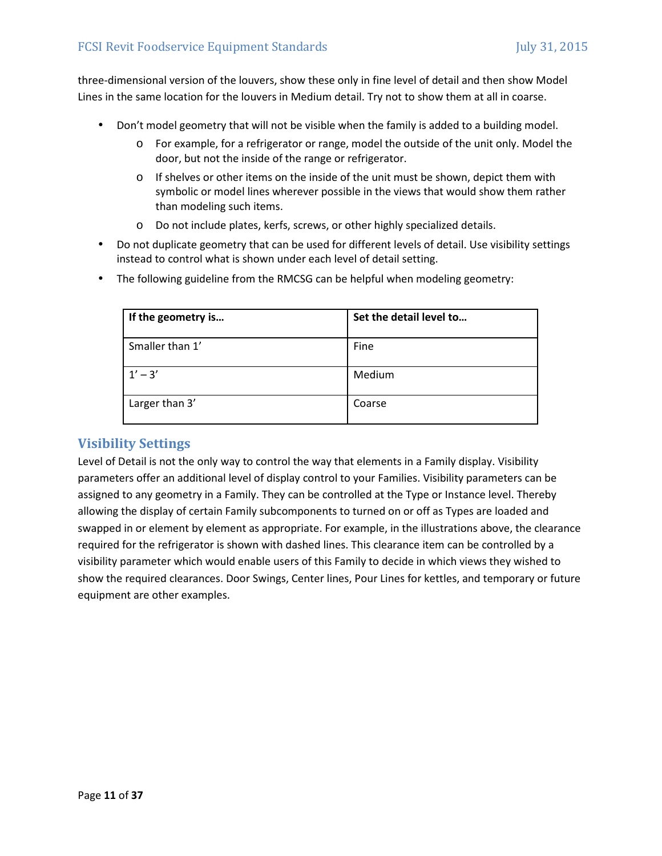three‐dimensional version of the louvers, show these only in fine level of detail and then show Model Lines in the same location for the louvers in Medium detail. Try not to show them at all in coarse.

- Don't model geometry that will not be visible when the family is added to a building model.
	- o For example, for a refrigerator or range, model the outside of the unit only. Model the door, but not the inside of the range or refrigerator.
	- $\circ$  If shelves or other items on the inside of the unit must be shown, depict them with symbolic or model lines wherever possible in the views that would show them rather than modeling such items.
	- o Do not include plates, kerfs, screws, or other highly specialized details.
- Do not duplicate geometry that can be used for different levels of detail. Use visibility settings instead to control what is shown under each level of detail setting.
- The following guideline from the RMCSG can be helpful when modeling geometry:

| If the geometry is | Set the detail level to |
|--------------------|-------------------------|
| Smaller than 1'    | Fine                    |
| $1' - 3'$          | Medium                  |
| Larger than 3'     | Coarse                  |

# **Visibility Settings**

Level of Detail is not the only way to control the way that elements in a Family display. Visibility parameters offer an additional level of display control to your Families. Visibility parameters can be assigned to any geometry in a Family. They can be controlled at the Type or Instance level. Thereby allowing the display of certain Family subcomponents to turned on or off as Types are loaded and swapped in or element by element as appropriate. For example, in the illustrations above, the clearance required for the refrigerator is shown with dashed lines. This clearance item can be controlled by a visibility parameter which would enable users of this Family to decide in which views they wished to show the required clearances. Door Swings, Center lines, Pour Lines for kettles, and temporary or future equipment are other examples.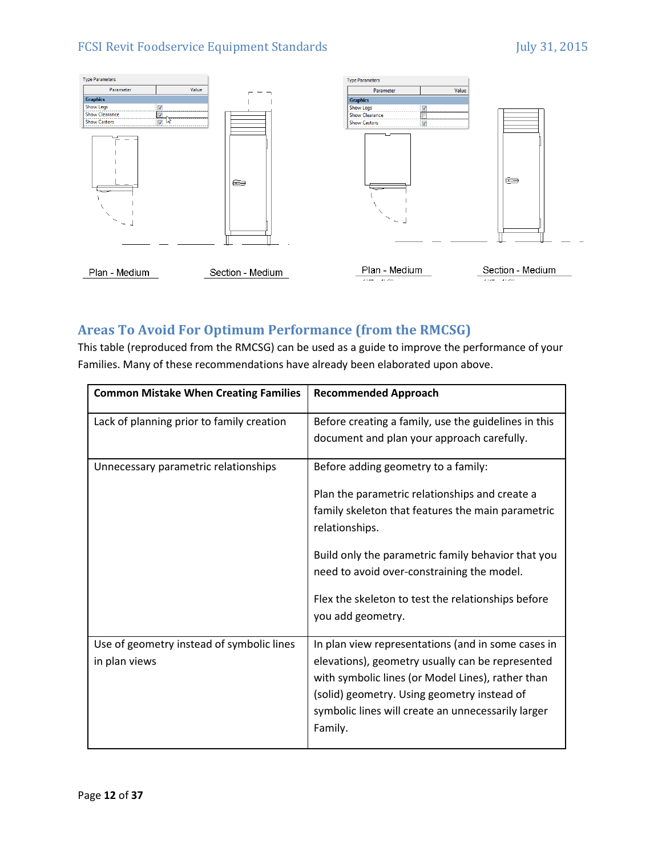

# **Areas To Avoid For Optimum Performance (from the RMCSG)**

This table (reproduced from the RMCSG) can be used as a guide to improve the performance of your Families. Many of these recommendations have already been elaborated upon above.

| <b>Common Mistake When Creating Families</b> | <b>Recommended Approach</b>                                                                        |
|----------------------------------------------|----------------------------------------------------------------------------------------------------|
| Lack of planning prior to family creation    | Before creating a family, use the guidelines in this<br>document and plan your approach carefully. |
|                                              |                                                                                                    |
| Unnecessary parametric relationships         | Before adding geometry to a family:                                                                |
|                                              | Plan the parametric relationships and create a                                                     |
|                                              | family skeleton that features the main parametric<br>relationships.                                |
|                                              | Build only the parametric family behavior that you                                                 |
|                                              | need to avoid over-constraining the model.                                                         |
|                                              | Flex the skeleton to test the relationships before                                                 |
|                                              | you add geometry.                                                                                  |
| Use of geometry instead of symbolic lines    | In plan view representations (and in some cases in                                                 |
| in plan views                                | elevations), geometry usually can be represented                                                   |
|                                              | with symbolic lines (or Model Lines), rather than                                                  |
|                                              | (solid) geometry. Using geometry instead of                                                        |
|                                              | symbolic lines will create an unnecessarily larger<br>Family.                                      |
|                                              |                                                                                                    |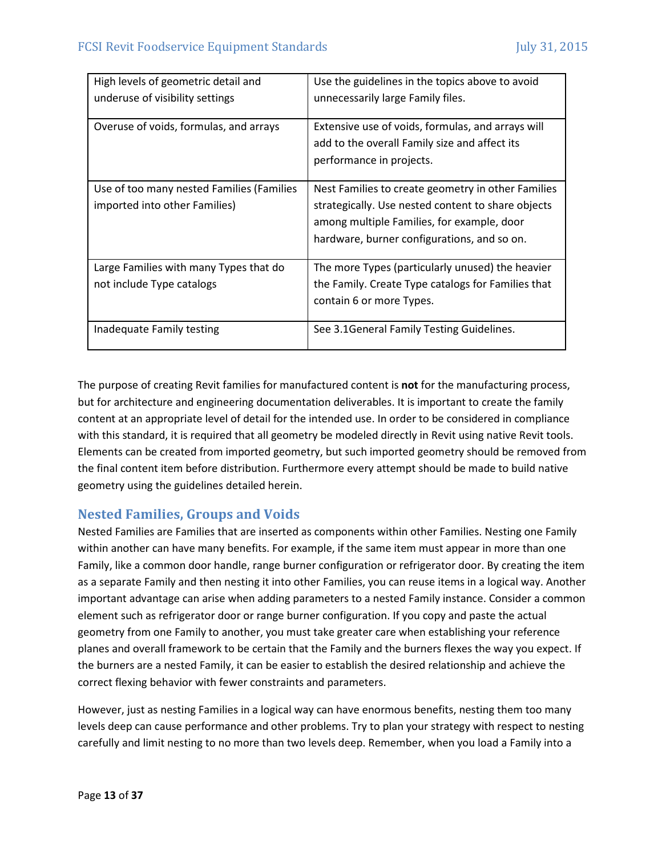| High levels of geometric detail and       | Use the guidelines in the topics above to avoid    |
|-------------------------------------------|----------------------------------------------------|
| underuse of visibility settings           | unnecessarily large Family files.                  |
|                                           |                                                    |
| Overuse of voids, formulas, and arrays    | Extensive use of voids, formulas, and arrays will  |
|                                           | add to the overall Family size and affect its      |
|                                           | performance in projects.                           |
|                                           |                                                    |
| Use of too many nested Families (Families | Nest Families to create geometry in other Families |
| imported into other Families)             | strategically. Use nested content to share objects |
|                                           | among multiple Families, for example, door         |
|                                           | hardware, burner configurations, and so on.        |
|                                           |                                                    |
| Large Families with many Types that do    | The more Types (particularly unused) the heavier   |
| not include Type catalogs                 | the Family. Create Type catalogs for Families that |
|                                           | contain 6 or more Types.                           |
|                                           |                                                    |
| Inadequate Family testing                 | See 3.1 General Family Testing Guidelines.         |

The purpose of creating Revit families for manufactured content is **not** for the manufacturing process, but for architecture and engineering documentation deliverables. It is important to create the family content at an appropriate level of detail for the intended use. In order to be considered in compliance with this standard, it is required that all geometry be modeled directly in Revit using native Revit tools. Elements can be created from imported geometry, but such imported geometry should be removed from the final content item before distribution. Furthermore every attempt should be made to build native geometry using the guidelines detailed herein.

# **Nested Families, Groups and Voids**

Nested Families are Families that are inserted as components within other Families. Nesting one Family within another can have many benefits. For example, if the same item must appear in more than one Family, like a common door handle, range burner configuration or refrigerator door. By creating the item as a separate Family and then nesting it into other Families, you can reuse items in a logical way. Another important advantage can arise when adding parameters to a nested Family instance. Consider a common element such as refrigerator door or range burner configuration. If you copy and paste the actual geometry from one Family to another, you must take greater care when establishing your reference planes and overall framework to be certain that the Family and the burners flexes the way you expect. If the burners are a nested Family, it can be easier to establish the desired relationship and achieve the correct flexing behavior with fewer constraints and parameters.

However, just as nesting Families in a logical way can have enormous benefits, nesting them too many levels deep can cause performance and other problems. Try to plan your strategy with respect to nesting carefully and limit nesting to no more than two levels deep. Remember, when you load a Family into a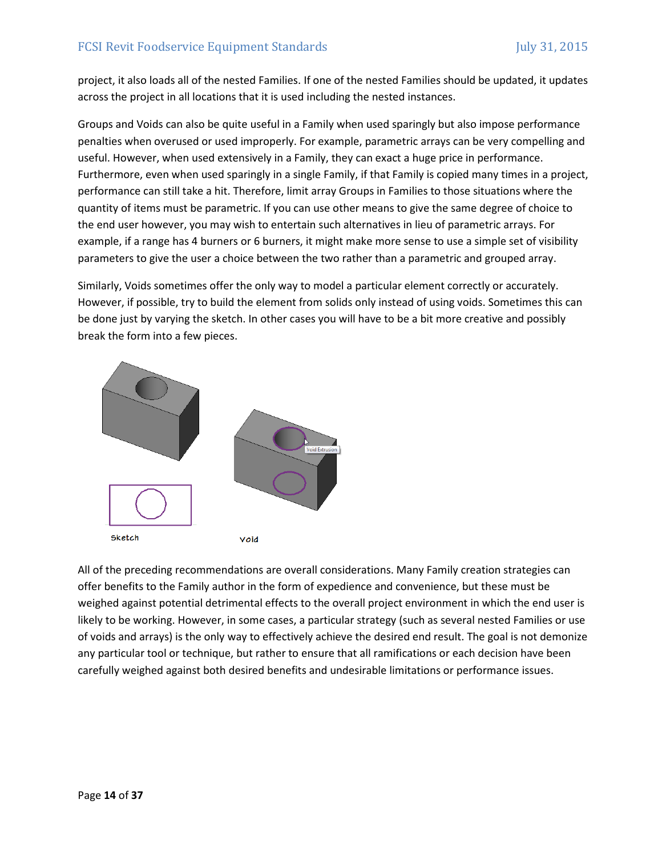project, it also loads all of the nested Families. If one of the nested Families should be updated, it updates across the project in all locations that it is used including the nested instances.

Groups and Voids can also be quite useful in a Family when used sparingly but also impose performance penalties when overused or used improperly. For example, parametric arrays can be very compelling and useful. However, when used extensively in a Family, they can exact a huge price in performance. Furthermore, even when used sparingly in a single Family, if that Family is copied many times in a project, performance can still take a hit. Therefore, limit array Groups in Families to those situations where the quantity of items must be parametric. If you can use other means to give the same degree of choice to the end user however, you may wish to entertain such alternatives in lieu of parametric arrays. For example, if a range has 4 burners or 6 burners, it might make more sense to use a simple set of visibility parameters to give the user a choice between the two rather than a parametric and grouped array.

Similarly, Voids sometimes offer the only way to model a particular element correctly or accurately. However, if possible, try to build the element from solids only instead of using voids. Sometimes this can be done just by varying the sketch. In other cases you will have to be a bit more creative and possibly break the form into a few pieces.



All of the preceding recommendations are overall considerations. Many Family creation strategies can offer benefits to the Family author in the form of expedience and convenience, but these must be weighed against potential detrimental effects to the overall project environment in which the end user is likely to be working. However, in some cases, a particular strategy (such as several nested Families or use of voids and arrays) is the only way to effectively achieve the desired end result. The goal is not demonize any particular tool or technique, but rather to ensure that all ramifications or each decision have been carefully weighed against both desired benefits and undesirable limitations or performance issues.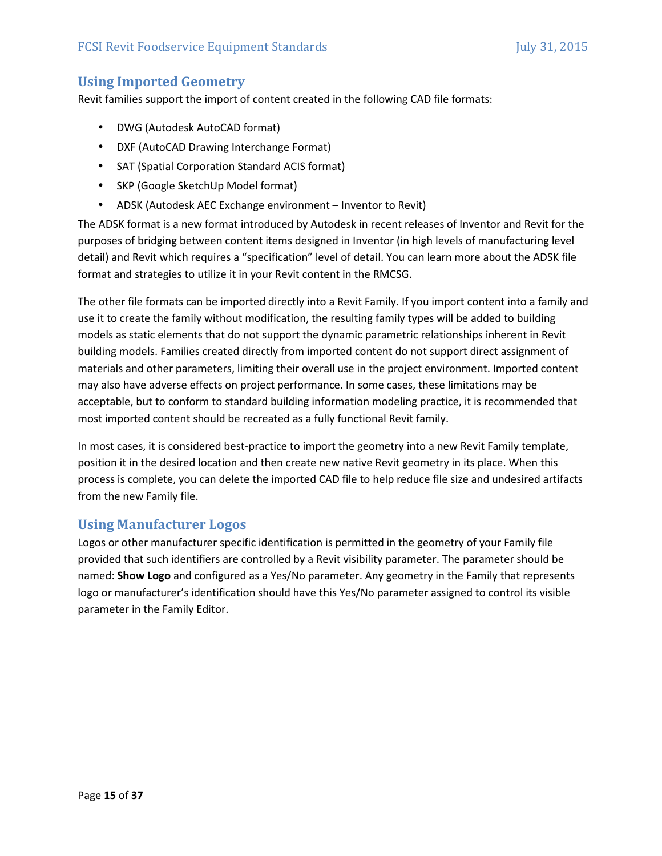## **Using Imported Geometry**

Revit families support the import of content created in the following CAD file formats:

- DWG (Autodesk AutoCAD format)
- DXF (AutoCAD Drawing Interchange Format)
- SAT (Spatial Corporation Standard ACIS format)
- SKP (Google SketchUp Model format)
- ADSK (Autodesk AEC Exchange environment Inventor to Revit)

The ADSK format is a new format introduced by Autodesk in recent releases of Inventor and Revit for the purposes of bridging between content items designed in Inventor (in high levels of manufacturing level detail) and Revit which requires a "specification" level of detail. You can learn more about the ADSK file format and strategies to utilize it in your Revit content in the RMCSG.

The other file formats can be imported directly into a Revit Family. If you import content into a family and use it to create the family without modification, the resulting family types will be added to building models as static elements that do not support the dynamic parametric relationships inherent in Revit building models. Families created directly from imported content do not support direct assignment of materials and other parameters, limiting their overall use in the project environment. Imported content may also have adverse effects on project performance. In some cases, these limitations may be acceptable, but to conform to standard building information modeling practice, it is recommended that most imported content should be recreated as a fully functional Revit family.

In most cases, it is considered best-practice to import the geometry into a new Revit Family template, position it in the desired location and then create new native Revit geometry in its place. When this process is complete, you can delete the imported CAD file to help reduce file size and undesired artifacts from the new Family file.

#### **Using Manufacturer Logos**

Logos or other manufacturer specific identification is permitted in the geometry of your Family file provided that such identifiers are controlled by a Revit visibility parameter. The parameter should be named: **Show Logo** and configured as a Yes/No parameter. Any geometry in the Family that represents logo or manufacturer's identification should have this Yes/No parameter assigned to control its visible parameter in the Family Editor.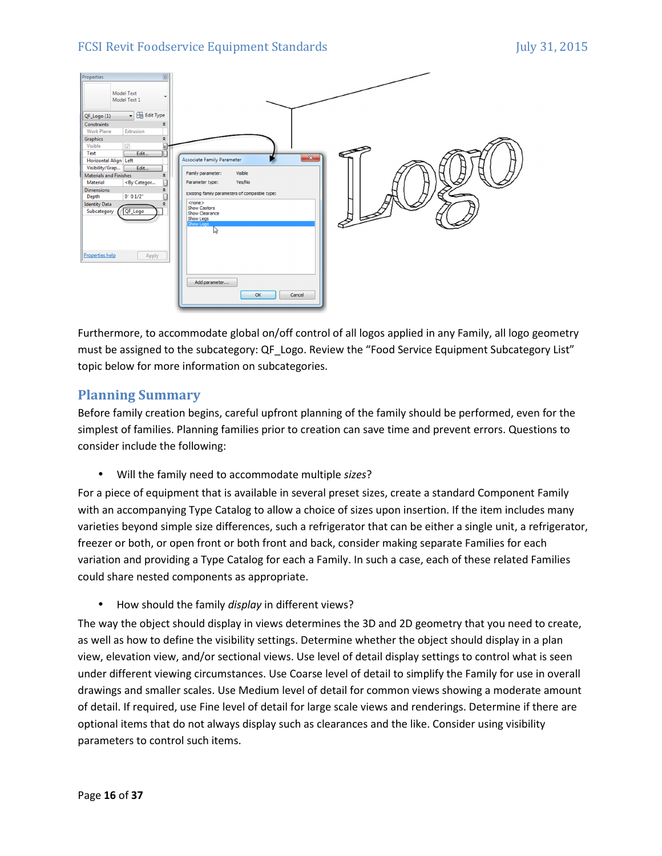

Furthermore, to accommodate global on/off control of all logos applied in any Family, all logo geometry must be assigned to the subcategory: QF\_Logo. Review the "Food Service Equipment Subcategory List" topic below for more information on subcategories.

## **Planning Summary**

Before family creation begins, careful upfront planning of the family should be performed, even for the simplest of families. Planning families prior to creation can save time and prevent errors. Questions to consider include the following:

• Will the family need to accommodate multiple *sizes*?

For a piece of equipment that is available in several preset sizes, create a standard Component Family with an accompanying Type Catalog to allow a choice of sizes upon insertion. If the item includes many varieties beyond simple size differences, such a refrigerator that can be either a single unit, a refrigerator, freezer or both, or open front or both front and back, consider making separate Families for each variation and providing a Type Catalog for each a Family. In such a case, each of these related Families could share nested components as appropriate.

• How should the family *display* in different views?

The way the object should display in views determines the 3D and 2D geometry that you need to create, as well as how to define the visibility settings. Determine whether the object should display in a plan view, elevation view, and/or sectional views. Use level of detail display settings to control what is seen under different viewing circumstances. Use Coarse level of detail to simplify the Family for use in overall drawings and smaller scales. Use Medium level of detail for common views showing a moderate amount of detail. If required, use Fine level of detail for large scale views and renderings. Determine if there are optional items that do not always display such as clearances and the like. Consider using visibility parameters to control such items.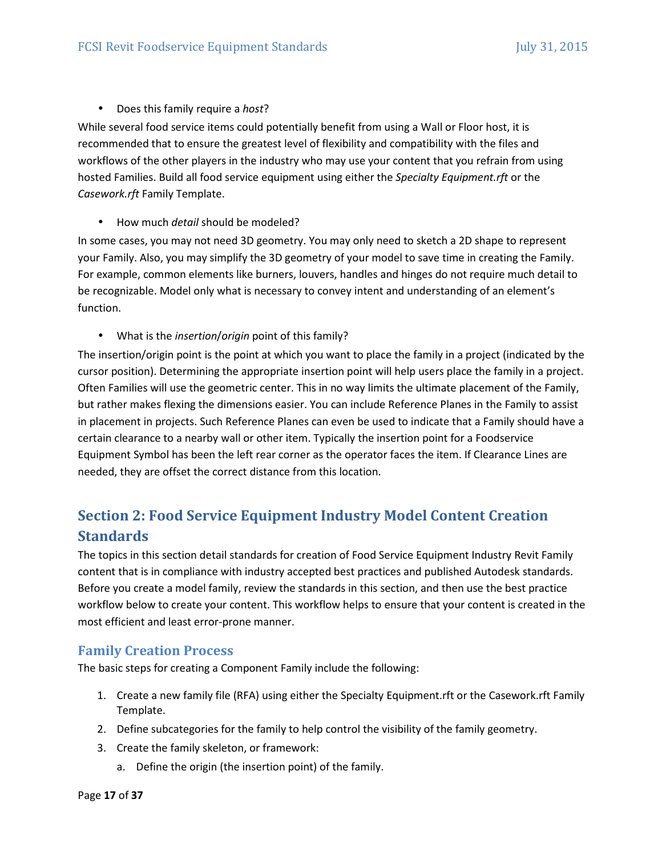#### • Does this family require a *host*?

While several food service items could potentially benefit from using a Wall or Floor host, it is recommended that to ensure the greatest level of flexibility and compatibility with the files and workflows of the other players in the industry who may use your content that you refrain from using hosted Families. Build all food service equipment using either the *Specialty Equipment.rft* or the *Casework.rft* Family Template.

• How much *detail* should be modeled?

In some cases, you may not need 3D geometry. You may only need to sketch a 2D shape to represent your Family. Also, you may simplify the 3D geometry of your model to save time in creating the Family. For example, common elements like burners, louvers, handles and hinges do not require much detail to be recognizable. Model only what is necessary to convey intent and understanding of an element's function.

• What is the *insertion*/*origin* point of this family?

The insertion/origin point is the point at which you want to place the family in a project (indicated by the cursor position). Determining the appropriate insertion point will help users place the family in a project. Often Families will use the geometric center. This in no way limits the ultimate placement of the Family, but rather makes flexing the dimensions easier. You can include Reference Planes in the Family to assist in placement in projects. Such Reference Planes can even be used to indicate that a Family should have a certain clearance to a nearby wall or other item. Typically the insertion point for a Foodservice Equipment Symbol has been the left rear corner as the operator faces the item. If Clearance Lines are needed, they are offset the correct distance from this location.

# **Section 2: Food Service Equipment Industry Model Content Creation Standards**

The topics in this section detail standards for creation of Food Service Equipment Industry Revit Family content that is in compliance with industry accepted best practices and published Autodesk standards. Before you create a model family, review the standards in this section, and then use the best practice workflow below to create your content. This workflow helps to ensure that your content is created in the most efficient and least error‐prone manner.

#### **Family Creation Process**

The basic steps for creating a Component Family include the following:

- 1. Create a new family file (RFA) using either the Specialty Equipment.rft or the Casework.rft Family Template.
- 2. Define subcategories for the family to help control the visibility of the family geometry.
- 3. Create the family skeleton, or framework:
	- a. Define the origin (the insertion point) of the family.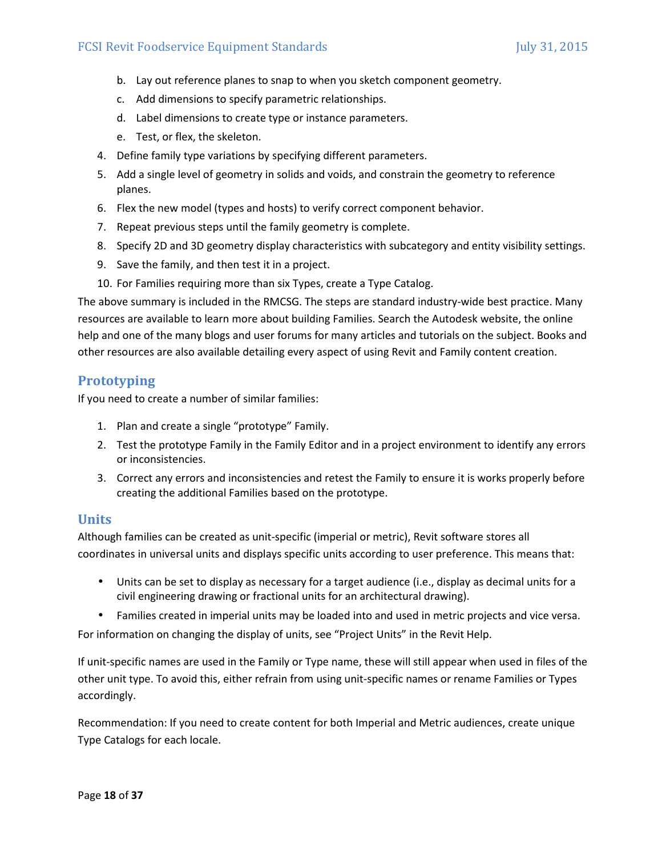- b. Lay out reference planes to snap to when you sketch component geometry.
- c. Add dimensions to specify parametric relationships.
- d. Label dimensions to create type or instance parameters.
- e. Test, or flex, the skeleton.
- 4. Define family type variations by specifying different parameters.
- 5. Add a single level of geometry in solids and voids, and constrain the geometry to reference planes.
- 6. Flex the new model (types and hosts) to verify correct component behavior.
- 7. Repeat previous steps until the family geometry is complete.
- 8. Specify 2D and 3D geometry display characteristics with subcategory and entity visibility settings.
- 9. Save the family, and then test it in a project.
- 10. For Families requiring more than six Types, create a Type Catalog.

The above summary is included in the RMCSG. The steps are standard industry‐wide best practice. Many resources are available to learn more about building Families. Search the Autodesk website, the online help and one of the many blogs and user forums for many articles and tutorials on the subject. Books and other resources are also available detailing every aspect of using Revit and Family content creation.

#### **Prototyping**

If you need to create a number of similar families:

- 1. Plan and create a single "prototype" Family.
- 2. Test the prototype Family in the Family Editor and in a project environment to identify any errors or inconsistencies.
- 3. Correct any errors and inconsistencies and retest the Family to ensure it is works properly before creating the additional Families based on the prototype.

#### **Units**

Although families can be created as unit‐specific (imperial or metric), Revit software stores all coordinates in universal units and displays specific units according to user preference. This means that:

- Units can be set to display as necessary for a target audience (i.e., display as decimal units for a civil engineering drawing or fractional units for an architectural drawing).
- Families created in imperial units may be loaded into and used in metric projects and vice versa.

For information on changing the display of units, see "Project Units" in the Revit Help.

If unit‐specific names are used in the Family or Type name, these will still appear when used in files of the other unit type. To avoid this, either refrain from using unit‐specific names or rename Families or Types accordingly.

Recommendation: If you need to create content for both Imperial and Metric audiences, create unique Type Catalogs for each locale.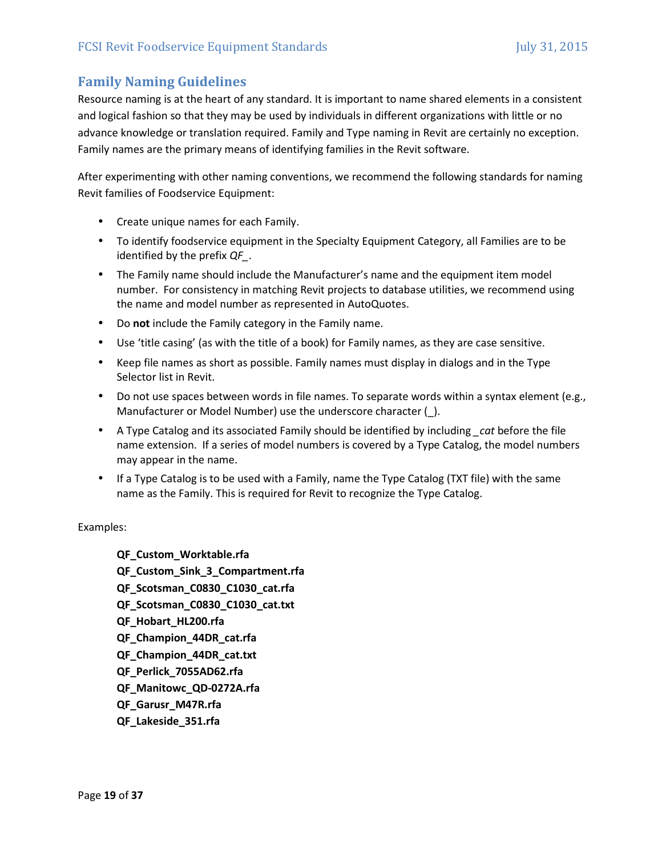# **Family Naming Guidelines**

Resource naming is at the heart of any standard. It is important to name shared elements in a consistent and logical fashion so that they may be used by individuals in different organizations with little or no advance knowledge or translation required. Family and Type naming in Revit are certainly no exception. Family names are the primary means of identifying families in the Revit software.

After experimenting with other naming conventions, we recommend the following standards for naming Revit families of Foodservice Equipment:

- Create unique names for each Family.
- To identify foodservice equipment in the Specialty Equipment Category, all Families are to be identified by the prefix *QF\_*.
- The Family name should include the Manufacturer's name and the equipment item model number. For consistency in matching Revit projects to database utilities, we recommend using the name and model number as represented in AutoQuotes.
- Do **not** include the Family category in the Family name.
- Use 'title casing' (as with the title of a book) for Family names, as they are case sensitive.
- Keep file names as short as possible. Family names must display in dialogs and in the Type Selector list in Revit.
- Do not use spaces between words in file names. To separate words within a syntax element (e.g., Manufacturer or Model Number) use the underscore character ( $\cdot$ ).
- A Type Catalog and its associated Family should be identified by including *\_cat* before the file name extension. If a series of model numbers is covered by a Type Catalog, the model numbers may appear in the name.
- If a Type Catalog is to be used with a Family, name the Type Catalog (TXT file) with the same name as the Family. This is required for Revit to recognize the Type Catalog.

Examples:

**QF\_Custom\_Worktable.rfa QF\_Custom\_Sink\_3\_Compartment.rfa QF\_Scotsman\_C0830\_C1030\_cat.rfa QF\_Scotsman\_C0830\_C1030\_cat.txt QF\_Hobart\_HL200.rfa QF\_Champion\_44DR\_cat.rfa QF\_Champion\_44DR\_cat.txt QF\_Perlick\_7055AD62.rfa QF\_Manitowc\_QD-0272A.rfa QF\_Garusr\_M47R.rfa QF\_Lakeside\_351.rfa**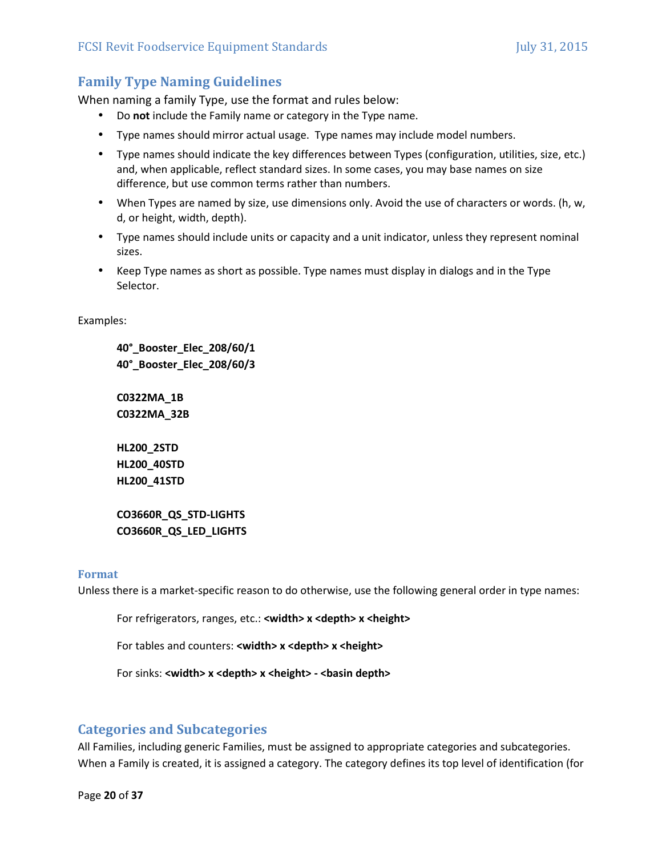# **Family Type Naming Guidelines**

When naming a family Type, use the format and rules below:

- Do **not** include the Family name or category in the Type name.
- Type names should mirror actual usage. Type names may include model numbers.
- Type names should indicate the key differences between Types (configuration, utilities, size, etc.) and, when applicable, reflect standard sizes. In some cases, you may base names on size difference, but use common terms rather than numbers.
- When Types are named by size, use dimensions only. Avoid the use of characters or words. (h, w, d, or height, width, depth).
- Type names should include units or capacity and a unit indicator, unless they represent nominal sizes.
- Keep Type names as short as possible. Type names must display in dialogs and in the Type Selector.

Examples:

**40°\_Booster\_Elec\_208/60/1 40°\_Booster\_Elec\_208/60/3** 

**C0322MA\_1B C0322MA\_32B** 

**HL200\_2STD HL200\_40STD HL200\_41STD** 

**CO3660R\_QS\_STD-LIGHTS CO3660R\_QS\_LED\_LIGHTS** 

#### **Format**

Unless there is a market‐specific reason to do otherwise, use the following general order in type names:

For refrigerators, ranges, etc.: **<width> x <depth> x <height>**

For tables and counters: **<width> x <depth> x <height>**

For sinks: **<width> x <depth> x <height> - <br/> <br/>basin depth>** 

#### **Categories and Subcategories**

All Families, including generic Families, must be assigned to appropriate categories and subcategories. When a Family is created, it is assigned a category. The category defines its top level of identification (for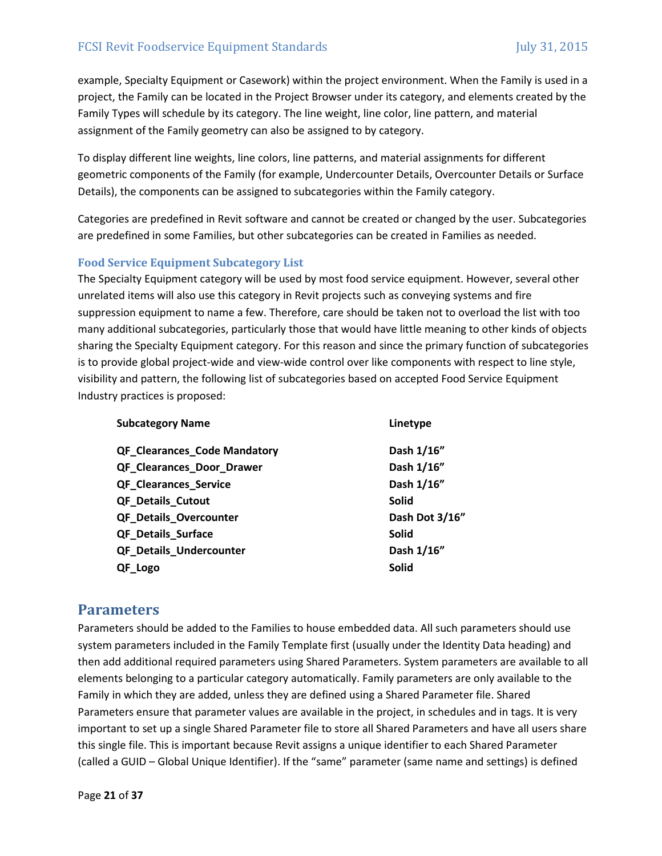example, Specialty Equipment or Casework) within the project environment. When the Family is used in a project, the Family can be located in the Project Browser under its category, and elements created by the Family Types will schedule by its category. The line weight, line color, line pattern, and material assignment of the Family geometry can also be assigned to by category.

To display different line weights, line colors, line patterns, and material assignments for different geometric components of the Family (for example, Undercounter Details, Overcounter Details or Surface Details), the components can be assigned to subcategories within the Family category.

Categories are predefined in Revit software and cannot be created or changed by the user. Subcategories are predefined in some Families, but other subcategories can be created in Families as needed.

#### **Food Service Equipment Subcategory List**

The Specialty Equipment category will be used by most food service equipment. However, several other unrelated items will also use this category in Revit projects such as conveying systems and fire suppression equipment to name a few. Therefore, care should be taken not to overload the list with too many additional subcategories, particularly those that would have little meaning to other kinds of objects sharing the Specialty Equipment category. For this reason and since the primary function of subcategories is to provide global project-wide and view-wide control over like components with respect to line style, visibility and pattern, the following list of subcategories based on accepted Food Service Equipment Industry practices is proposed:

| <b>Subcategory Name</b>             | Linetype       |
|-------------------------------------|----------------|
| <b>QF_Clearances_Code Mandatory</b> | Dash 1/16"     |
| QF Clearances Door Drawer           | Dash 1/16"     |
| <b>QF Clearances Service</b>        | Dash 1/16"     |
| <b>QF Details Cutout</b>            | <b>Solid</b>   |
| <b>QF Details Overcounter</b>       | Dash Dot 3/16" |
| <b>QF Details Surface</b>           | <b>Solid</b>   |
| QF_Details_Undercounter             | Dash 1/16"     |
| QF Logo                             | <b>Solid</b>   |

# **Parameters**

Parameters should be added to the Families to house embedded data. All such parameters should use system parameters included in the Family Template first (usually under the Identity Data heading) and then add additional required parameters using Shared Parameters. System parameters are available to all elements belonging to a particular category automatically. Family parameters are only available to the Family in which they are added, unless they are defined using a Shared Parameter file. Shared Parameters ensure that parameter values are available in the project, in schedules and in tags. It is very important to set up a single Shared Parameter file to store all Shared Parameters and have all users share this single file. This is important because Revit assigns a unique identifier to each Shared Parameter (called a GUID – Global Unique Identifier). If the "same" parameter (same name and settings) is defined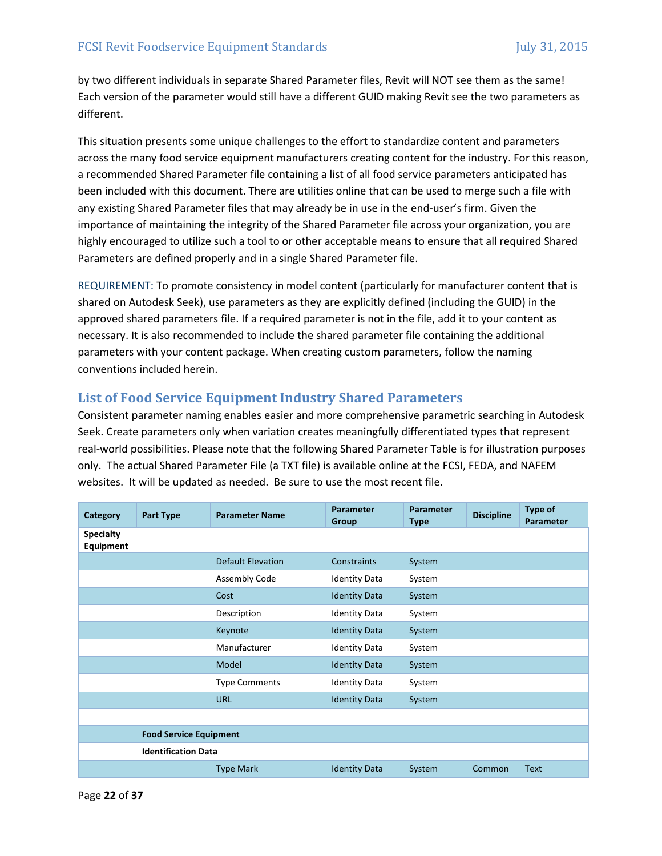by two different individuals in separate Shared Parameter files, Revit will NOT see them as the same! Each version of the parameter would still have a different GUID making Revit see the two parameters as different.

This situation presents some unique challenges to the effort to standardize content and parameters across the many food service equipment manufacturers creating content for the industry. For this reason, a recommended Shared Parameter file containing a list of all food service parameters anticipated has been included with this document. There are utilities online that can be used to merge such a file with any existing Shared Parameter files that may already be in use in the end-user's firm. Given the importance of maintaining the integrity of the Shared Parameter file across your organization, you are highly encouraged to utilize such a tool to or other acceptable means to ensure that all required Shared Parameters are defined properly and in a single Shared Parameter file.

REQUIREMENT: To promote consistency in model content (particularly for manufacturer content that is shared on Autodesk Seek), use parameters as they are explicitly defined (including the GUID) in the approved shared parameters file. If a required parameter is not in the file, add it to your content as necessary. It is also recommended to include the shared parameter file containing the additional parameters with your content package. When creating custom parameters, follow the naming conventions included herein.

## **List of Food Service Equipment Industry Shared Parameters**

Consistent parameter naming enables easier and more comprehensive parametric searching in Autodesk Seek. Create parameters only when variation creates meaningfully differentiated types that represent real‐world possibilities. Please note that the following Shared Parameter Table is for illustration purposes only. The actual Shared Parameter File (a TXT file) is available online at the FCSI, FEDA, and NAFEM websites. It will be updated as needed. Be sure to use the most recent file.

| Category                      | Part Type                     | <b>Parameter Name</b>    | <b>Parameter</b><br>Group | <b>Parameter</b><br><b>Type</b> | <b>Discipline</b> | <b>Type of</b><br>Parameter |
|-------------------------------|-------------------------------|--------------------------|---------------------------|---------------------------------|-------------------|-----------------------------|
| <b>Specialty</b><br>Equipment |                               |                          |                           |                                 |                   |                             |
|                               |                               | <b>Default Elevation</b> | Constraints               | System                          |                   |                             |
|                               |                               | Assembly Code            | <b>Identity Data</b>      | System                          |                   |                             |
|                               |                               | Cost                     | <b>Identity Data</b>      | System                          |                   |                             |
|                               |                               | Description              | <b>Identity Data</b>      | System                          |                   |                             |
|                               |                               | Keynote                  | <b>Identity Data</b>      | System                          |                   |                             |
|                               |                               | Manufacturer             | <b>Identity Data</b>      | System                          |                   |                             |
|                               |                               | Model                    | <b>Identity Data</b>      | System                          |                   |                             |
|                               |                               | <b>Type Comments</b>     | <b>Identity Data</b>      | System                          |                   |                             |
|                               |                               | <b>URL</b>               | <b>Identity Data</b>      | System                          |                   |                             |
|                               |                               |                          |                           |                                 |                   |                             |
|                               | <b>Food Service Equipment</b> |                          |                           |                                 |                   |                             |
|                               | <b>Identification Data</b>    |                          |                           |                                 |                   |                             |
|                               |                               | <b>Type Mark</b>         | <b>Identity Data</b>      | System                          | Common            | <b>Text</b>                 |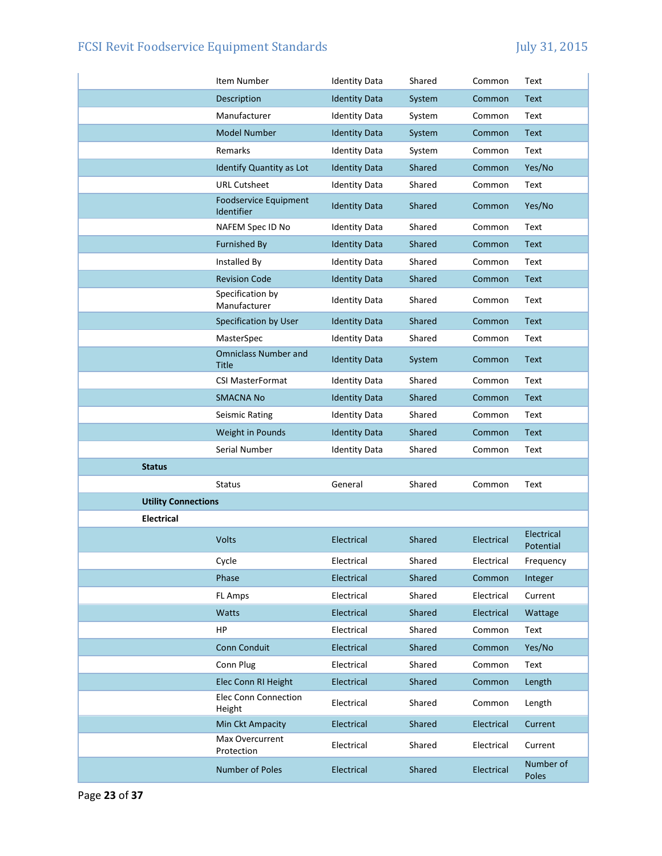|                            | Item Number                                 | <b>Identity Data</b> | Shared | Common     | Text                    |
|----------------------------|---------------------------------------------|----------------------|--------|------------|-------------------------|
|                            | Description                                 | <b>Identity Data</b> | System | Common     | <b>Text</b>             |
|                            | Manufacturer                                | <b>Identity Data</b> | System | Common     | Text                    |
|                            | <b>Model Number</b>                         | <b>Identity Data</b> | System | Common     | <b>Text</b>             |
|                            | Remarks                                     | <b>Identity Data</b> | System | Common     | Text                    |
|                            | Identify Quantity as Lot                    | <b>Identity Data</b> | Shared | Common     | Yes/No                  |
|                            | <b>URL Cutsheet</b>                         | <b>Identity Data</b> | Shared | Common     | Text                    |
|                            | <b>Foodservice Equipment</b><br>Identifier  | <b>Identity Data</b> | Shared | Common     | Yes/No                  |
|                            | NAFEM Spec ID No                            | <b>Identity Data</b> | Shared | Common     | Text                    |
|                            | <b>Furnished By</b>                         | <b>Identity Data</b> | Shared | Common     | <b>Text</b>             |
|                            | Installed By                                | <b>Identity Data</b> | Shared | Common     | Text                    |
|                            | <b>Revision Code</b>                        | <b>Identity Data</b> | Shared | Common     | <b>Text</b>             |
|                            | Specification by<br>Manufacturer            | <b>Identity Data</b> | Shared | Common     | Text                    |
|                            | Specification by User                       | <b>Identity Data</b> | Shared | Common     | <b>Text</b>             |
|                            | MasterSpec                                  | <b>Identity Data</b> | Shared | Common     | Text                    |
|                            | <b>Omniclass Number and</b><br><b>Title</b> | <b>Identity Data</b> | System | Common     | <b>Text</b>             |
|                            | <b>CSI MasterFormat</b>                     | <b>Identity Data</b> | Shared | Common     | Text                    |
|                            | <b>SMACNA No</b>                            | <b>Identity Data</b> | Shared | Common     | <b>Text</b>             |
|                            | Seismic Rating                              | <b>Identity Data</b> | Shared | Common     | Text                    |
|                            | Weight in Pounds                            | <b>Identity Data</b> | Shared | Common     | <b>Text</b>             |
|                            | Serial Number                               | <b>Identity Data</b> | Shared | Common     | Text                    |
| <b>Status</b>              |                                             |                      |        |            |                         |
|                            | <b>Status</b>                               | General              | Shared | Common     | Text                    |
| <b>Utility Connections</b> |                                             |                      |        |            |                         |
| <b>Electrical</b>          |                                             |                      |        |            |                         |
|                            | <b>Volts</b>                                | Electrical           | Shared | Electrical | Electrical<br>Potential |
|                            | Cycle                                       | Electrical           | Shared | Electrical | Frequency               |
|                            | Phase                                       | Electrical           | Shared | Common     | Integer                 |
|                            | FL Amps                                     | Electrical           | Shared | Electrical | Current                 |
|                            | Watts                                       | Electrical           | Shared | Electrical | Wattage                 |
|                            | HP                                          | Electrical           | Shared | Common     | Text                    |
|                            | Conn Conduit                                | Electrical           | Shared | Common     | Yes/No                  |
|                            | Conn Plug                                   | Electrical           | Shared | Common     | Text                    |
|                            | Elec Conn RI Height                         | Electrical           | Shared | Common     | Length                  |
|                            | Elec Conn Connection<br>Height              | Electrical           | Shared | Common     | Length                  |
|                            | Min Ckt Ampacity                            | Electrical           | Shared | Electrical | Current                 |
|                            | Max Overcurrent<br>Protection               | Electrical           | Shared | Electrical | Current                 |
|                            | <b>Number of Poles</b>                      | Electrical           | Shared | Electrical | Number of<br>Poles      |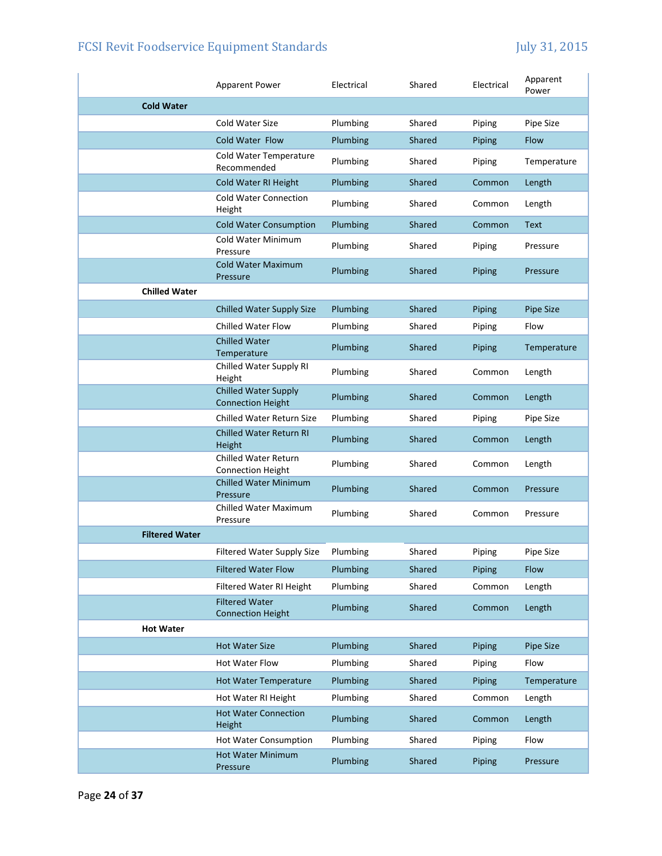|                       | <b>Apparent Power</b>                                   | Electrical | Shared        | Electrical | Apparent<br>Power |
|-----------------------|---------------------------------------------------------|------------|---------------|------------|-------------------|
| <b>Cold Water</b>     |                                                         |            |               |            |                   |
|                       | Cold Water Size                                         | Plumbing   | Shared        | Piping     | Pipe Size         |
|                       | Cold Water Flow                                         | Plumbing   | <b>Shared</b> | Piping     | <b>Flow</b>       |
|                       | Cold Water Temperature<br>Recommended                   | Plumbing   | Shared        | Piping     | Temperature       |
|                       | Cold Water RI Height                                    | Plumbing   | Shared        | Common     | Length            |
|                       | <b>Cold Water Connection</b><br>Height                  | Plumbing   | Shared        | Common     | Length            |
|                       | <b>Cold Water Consumption</b>                           | Plumbing   | Shared        | Common     | Text              |
|                       | Cold Water Minimum<br>Pressure                          | Plumbing   | Shared        | Piping     | Pressure          |
|                       | <b>Cold Water Maximum</b><br>Pressure                   | Plumbing   | Shared        | Piping     | Pressure          |
| <b>Chilled Water</b>  |                                                         |            |               |            |                   |
|                       | <b>Chilled Water Supply Size</b>                        | Plumbing   | Shared        | Piping     | <b>Pipe Size</b>  |
|                       | <b>Chilled Water Flow</b>                               | Plumbing   | Shared        | Piping     | Flow              |
|                       | <b>Chilled Water</b><br>Temperature                     | Plumbing   | Shared        | Piping     | Temperature       |
|                       | Chilled Water Supply RI<br>Height                       | Plumbing   | Shared        | Common     | Length            |
|                       | <b>Chilled Water Supply</b><br><b>Connection Height</b> | Plumbing   | Shared        | Common     | Length            |
|                       | <b>Chilled Water Return Size</b>                        | Plumbing   | Shared        | Piping     | Pipe Size         |
|                       | <b>Chilled Water Return RI</b><br>Height                | Plumbing   | Shared        | Common     | Length            |
|                       | Chilled Water Return<br><b>Connection Height</b>        | Plumbing   | Shared        | Common     | Length            |
|                       | <b>Chilled Water Minimum</b><br>Pressure                | Plumbing   | Shared        | Common     | Pressure          |
|                       | Chilled Water Maximum<br>Pressure                       | Plumbing   | Shared        | Common     | Pressure          |
| <b>Filtered Water</b> |                                                         |            |               |            |                   |
|                       | <b>Filtered Water Supply Size</b>                       | Plumbing   | Shared        | Piping     | Pipe Size         |
|                       | <b>Filtered Water Flow</b>                              | Plumbing   | Shared        | Piping     | Flow              |
|                       | Filtered Water RI Height                                | Plumbing   | Shared        | Common     | Length            |
|                       | <b>Filtered Water</b><br><b>Connection Height</b>       | Plumbing   | Shared        | Common     | Length            |
| <b>Hot Water</b>      |                                                         |            |               |            |                   |
|                       | <b>Hot Water Size</b>                                   | Plumbing   | Shared        | Piping     | Pipe Size         |
|                       | Hot Water Flow                                          | Plumbing   | Shared        | Piping     | Flow              |
|                       | <b>Hot Water Temperature</b>                            | Plumbing   | Shared        | Piping     | Temperature       |
|                       | Hot Water RI Height                                     | Plumbing   | Shared        | Common     | Length            |
|                       | <b>Hot Water Connection</b><br>Height                   | Plumbing   | Shared        | Common     | Length            |
|                       | Hot Water Consumption                                   | Plumbing   | Shared        | Piping     | Flow              |
|                       | <b>Hot Water Minimum</b><br>Pressure                    | Plumbing   | Shared        | Piping     | Pressure          |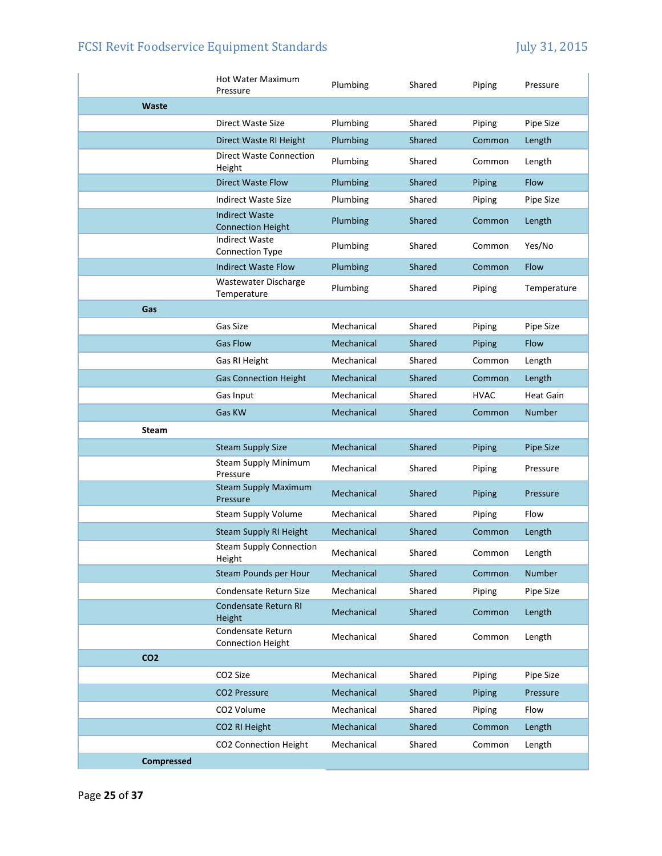|                 | <b>Hot Water Maximum</b><br>Pressure              | Plumbing   | Shared | Piping      | Pressure         |
|-----------------|---------------------------------------------------|------------|--------|-------------|------------------|
| <b>Waste</b>    |                                                   |            |        |             |                  |
|                 | Direct Waste Size                                 | Plumbing   | Shared | Piping      | Pipe Size        |
|                 | Direct Waste RI Height                            | Plumbing   | Shared | Common      | Length           |
|                 | <b>Direct Waste Connection</b><br>Height          | Plumbing   | Shared | Common      | Length           |
|                 | Direct Waste Flow                                 | Plumbing   | Shared | Piping      | <b>Flow</b>      |
|                 | <b>Indirect Waste Size</b>                        | Plumbing   | Shared | Piping      | Pipe Size        |
|                 | <b>Indirect Waste</b><br><b>Connection Height</b> | Plumbing   | Shared | Common      | Length           |
|                 | <b>Indirect Waste</b><br>Connection Type          | Plumbing   | Shared | Common      | Yes/No           |
|                 | <b>Indirect Waste Flow</b>                        | Plumbing   | Shared | Common      | <b>Flow</b>      |
|                 | Wastewater Discharge<br>Temperature               | Plumbing   | Shared | Piping      | Temperature      |
| Gas             |                                                   |            |        |             |                  |
|                 | Gas Size                                          | Mechanical | Shared | Piping      | Pipe Size        |
|                 | <b>Gas Flow</b>                                   | Mechanical | Shared | Piping      | Flow             |
|                 | Gas RI Height                                     | Mechanical | Shared | Common      | Length           |
|                 | <b>Gas Connection Height</b>                      | Mechanical | Shared | Common      | Length           |
|                 | Gas Input                                         | Mechanical | Shared | <b>HVAC</b> | <b>Heat Gain</b> |
|                 | Gas KW                                            | Mechanical | Shared | Common      | <b>Number</b>    |
| <b>Steam</b>    |                                                   |            |        |             |                  |
|                 | <b>Steam Supply Size</b>                          | Mechanical | Shared | Piping      | Pipe Size        |
|                 | <b>Steam Supply Minimum</b><br>Pressure           | Mechanical | Shared | Piping      | Pressure         |
|                 | <b>Steam Supply Maximum</b><br>Pressure           | Mechanical | Shared | Piping      | Pressure         |
|                 | <b>Steam Supply Volume</b>                        | Mechanical | Shared | Piping      | Flow             |
|                 | Steam Supply RI Height                            | Mechanical | Shared | Common      | Length           |
|                 | <b>Steam Supply Connection</b><br>Height          | Mechanical | Shared | Common      | Length           |
|                 | Steam Pounds per Hour                             | Mechanical | Shared | Common      | Number           |
|                 | Condensate Return Size                            | Mechanical | Shared | Piping      | Pipe Size        |
|                 | Condensate Return RI<br>Height                    | Mechanical | Shared | Common      | Length           |
|                 | Condensate Return<br><b>Connection Height</b>     | Mechanical | Shared | Common      | Length           |
| CO <sub>2</sub> |                                                   |            |        |             |                  |
|                 |                                                   |            |        |             |                  |
|                 | CO <sub>2</sub> Size                              | Mechanical | Shared | Piping      | Pipe Size        |
|                 | <b>CO2 Pressure</b>                               | Mechanical | Shared | Piping      | Pressure         |
|                 | CO2 Volume                                        | Mechanical | Shared | Piping      | Flow             |
|                 | CO2 RI Height                                     | Mechanical | Shared | Common      | Length           |
|                 | <b>CO2 Connection Height</b>                      | Mechanical | Shared | Common      | Length           |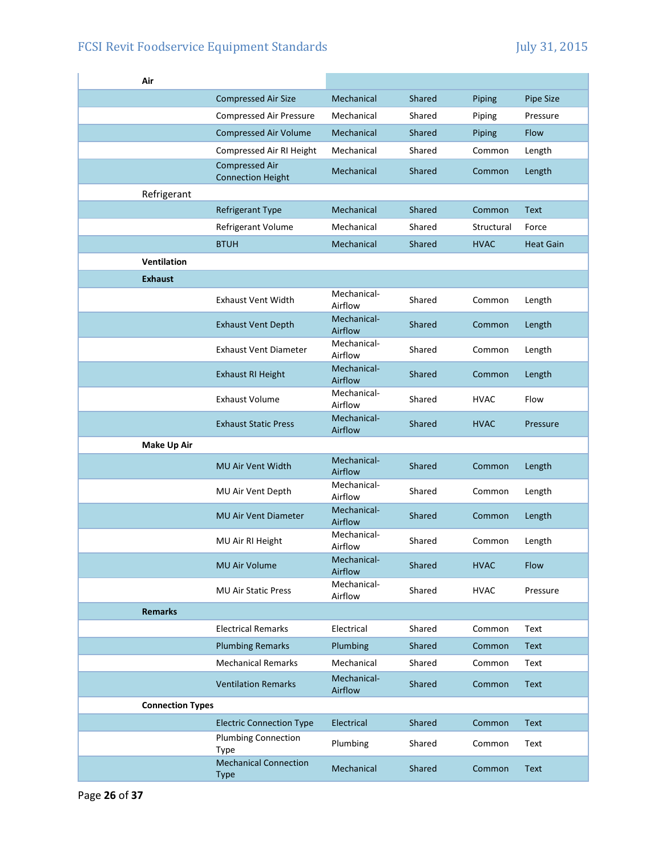| Air                     |                                                   |                        |        |             |                  |
|-------------------------|---------------------------------------------------|------------------------|--------|-------------|------------------|
|                         | <b>Compressed Air Size</b>                        | Mechanical             | Shared | Piping      | Pipe Size        |
|                         | <b>Compressed Air Pressure</b>                    | Mechanical             | Shared | Piping      | Pressure         |
|                         | <b>Compressed Air Volume</b>                      | Mechanical             | Shared | Piping      | <b>Flow</b>      |
|                         | Compressed Air RI Height                          | Mechanical             | Shared | Common      | Length           |
|                         | <b>Compressed Air</b><br><b>Connection Height</b> | Mechanical             | Shared | Common      | Length           |
| Refrigerant             |                                                   |                        |        |             |                  |
|                         | Refrigerant Type                                  | Mechanical             | Shared | Common      | <b>Text</b>      |
|                         | Refrigerant Volume                                | Mechanical             | Shared | Structural  | Force            |
|                         | <b>BTUH</b>                                       | Mechanical             | Shared | <b>HVAC</b> | <b>Heat Gain</b> |
| <b>Ventilation</b>      |                                                   |                        |        |             |                  |
| <b>Exhaust</b>          |                                                   |                        |        |             |                  |
|                         | <b>Exhaust Vent Width</b>                         | Mechanical-<br>Airflow | Shared | Common      | Length           |
|                         | <b>Exhaust Vent Depth</b>                         | Mechanical-<br>Airflow | Shared | Common      | Length           |
|                         | <b>Exhaust Vent Diameter</b>                      | Mechanical-<br>Airflow | Shared | Common      | Length           |
|                         | <b>Exhaust RI Height</b>                          | Mechanical-<br>Airflow | Shared | Common      | Length           |
|                         | <b>Exhaust Volume</b>                             | Mechanical-<br>Airflow | Shared | <b>HVAC</b> | Flow             |
|                         | <b>Exhaust Static Press</b>                       | Mechanical-<br>Airflow | Shared | <b>HVAC</b> | Pressure         |
| <b>Make Up Air</b>      |                                                   |                        |        |             |                  |
|                         | MU Air Vent Width                                 | Mechanical-<br>Airflow | Shared | Common      | Length           |
|                         | MU Air Vent Depth                                 | Mechanical-<br>Airflow | Shared | Common      | Length           |
|                         | <b>MU Air Vent Diameter</b>                       | Mechanical-<br>Airflow | Shared | Common      | Length           |
|                         | MU Air RI Height                                  | Mechanical-<br>Airflow | Shared | Common      | Length           |
|                         | MU Air Volume                                     | Mechanical-<br>Airflow | Shared | <b>HVAC</b> | Flow             |
|                         | <b>MU Air Static Press</b>                        | Mechanical-<br>Airflow | Shared | <b>HVAC</b> | Pressure         |
| <b>Remarks</b>          |                                                   |                        |        |             |                  |
|                         | <b>Electrical Remarks</b>                         | Electrical             | Shared | Common      | Text             |
|                         | <b>Plumbing Remarks</b>                           | Plumbing               | Shared | Common      | <b>Text</b>      |
|                         | <b>Mechanical Remarks</b>                         | Mechanical             | Shared | Common      | Text             |
|                         | <b>Ventilation Remarks</b>                        | Mechanical-<br>Airflow | Shared | Common      | <b>Text</b>      |
| <b>Connection Types</b> |                                                   |                        |        |             |                  |
|                         | <b>Electric Connection Type</b>                   | Electrical             | Shared | Common      | <b>Text</b>      |
|                         | <b>Plumbing Connection</b><br><b>Type</b>         | Plumbing               | Shared | Common      | Text             |
|                         | <b>Mechanical Connection</b><br><b>Type</b>       | Mechanical             | Shared | Common      | <b>Text</b>      |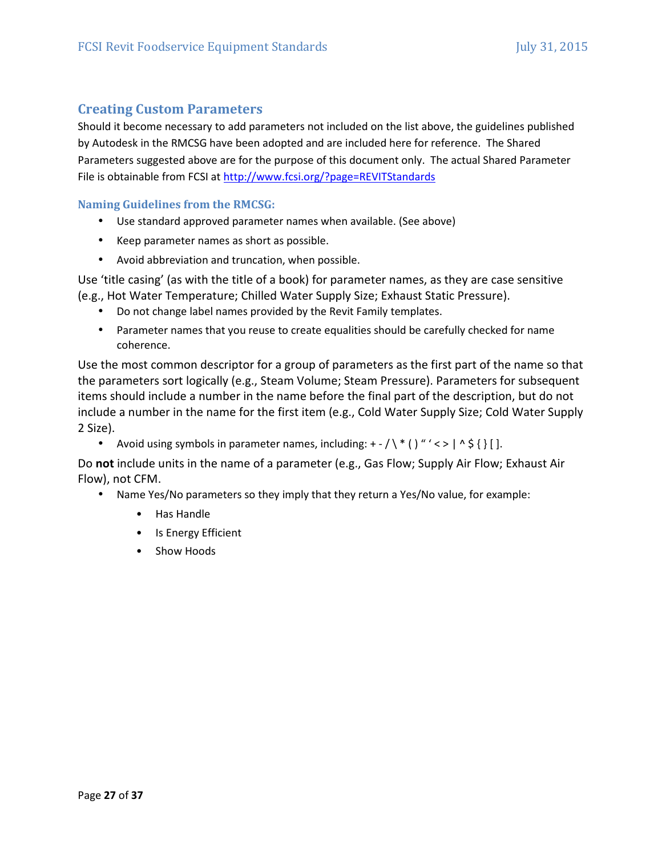## **Creating Custom Parameters**

Should it become necessary to add parameters not included on the list above, the guidelines published by Autodesk in the RMCSG have been adopted and are included here for reference. The Shared Parameters suggested above are for the purpose of this document only. The actual Shared Parameter File is obtainable from FCSI at http://www.fcsi.org/?page=REVITStandards

**Naming Guidelines from the RMCSG:** 

- Use standard approved parameter names when available. (See above)
- Keep parameter names as short as possible.
- Avoid abbreviation and truncation, when possible.

Use 'title casing' (as with the title of a book) for parameter names, as they are case sensitive (e.g., Hot Water Temperature; Chilled Water Supply Size; Exhaust Static Pressure).

- Do not change label names provided by the Revit Family templates.
- Parameter names that you reuse to create equalities should be carefully checked for name coherence.

Use the most common descriptor for a group of parameters as the first part of the name so that the parameters sort logically (e.g., Steam Volume; Steam Pressure). Parameters for subsequent items should include a number in the name before the final part of the description, but do not include a number in the name for the first item (e.g., Cold Water Supply Size; Cold Water Supply 2 Size).

• Avoid using symbols in parameter names, including:  $+$  -  $/\$  \* () "' < > | ^ \$ { } [].

Do **not** include units in the name of a parameter (e.g., Gas Flow; Supply Air Flow; Exhaust Air Flow), not CFM.

- Name Yes/No parameters so they imply that they return a Yes/No value, for example:
	- Has Handle
	- Is Energy Efficient
	- Show Hoods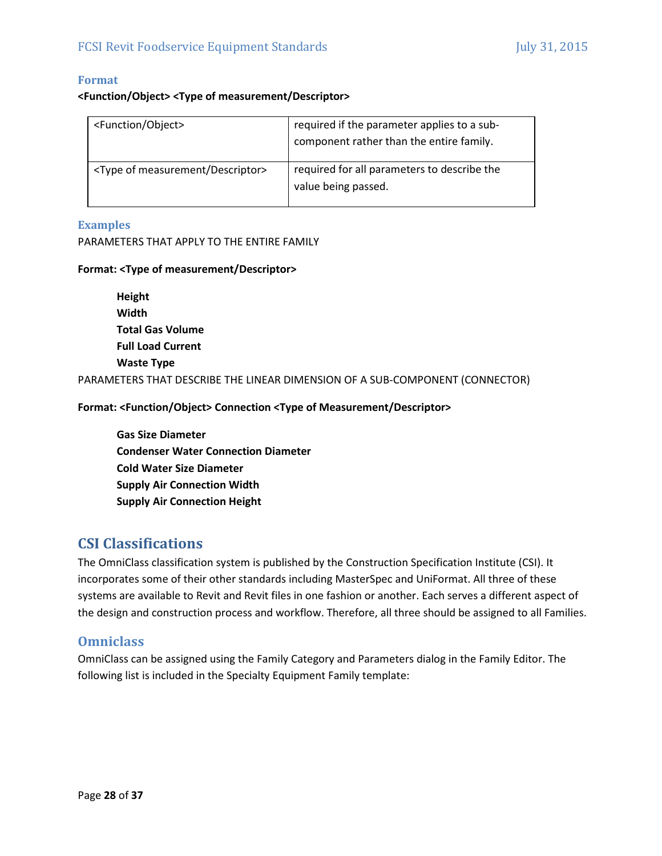#### **Format**

#### **<Function/Object> <Type of measurement/Descriptor>**

| <function object=""></function>                  | required if the parameter applies to a sub-<br>component rather than the entire family. |
|--------------------------------------------------|-----------------------------------------------------------------------------------------|
| <type descriptor="" measurement="" of=""></type> | required for all parameters to describe the<br>value being passed.                      |

#### **Examples**

PARAMETERS THAT APPLY TO THE ENTIRE FAMILY

#### **Format: <Type of measurement/Descriptor>**

| Height                                                                       |
|------------------------------------------------------------------------------|
| Width                                                                        |
| <b>Total Gas Volume</b>                                                      |
| <b>Full Load Current</b>                                                     |
| <b>Waste Type</b>                                                            |
| PARAMETERS THAT DESCRIBE THE LINEAR DIMENSION OF A SUB-COMPONENT (CONNECTOR) |

**Format: <Function/Object> Connection <Type of Measurement/Descriptor>** 

**Gas Size Diameter Condenser Water Connection Diameter Cold Water Size Diameter Supply Air Connection Width Supply Air Connection Height** 

# **CSI Classifications**

The OmniClass classification system is published by the Construction Specification Institute (CSI). It incorporates some of their other standards including MasterSpec and UniFormat. All three of these systems are available to Revit and Revit files in one fashion or another. Each serves a different aspect of the design and construction process and workflow. Therefore, all three should be assigned to all Families.

#### **Omniclass**

OmniClass can be assigned using the Family Category and Parameters dialog in the Family Editor. The following list is included in the Specialty Equipment Family template: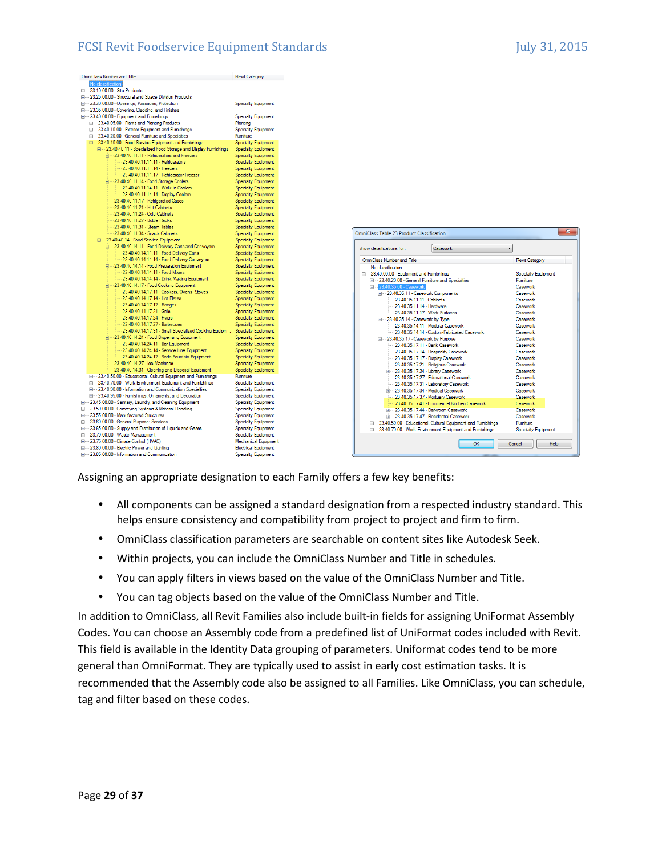| No classification<br>画 23.10.00.00 - Site Products<br>E-23.25.00.00 - Structural and Space Division Products<br>E 23.30.00.00 - Openings, Passages, Protection<br><b>Specialty Equipment</b><br>E-23.35.00.00 - Covering, Cladding, and Finishes<br>23.40.00.00 - Equipment and Fumishings<br><b>Specialty Equipment</b><br>E-23.40.05.00 - Plants and Planting Products<br>Planting<br>E-23.40.10.00 - Exterior Equipment and Fumishings<br><b>Specialty Equipment</b><br>E 23.40.20.00 - General Furniture and Specialties<br>Fumiture<br>23.40.40.00 - Food Service Equipment and Fumishings<br>Specialty Equipment<br>白… 23.40.40.11 - Specialized Food Storage and Display Fumishings<br>Specialty Equipment<br>□ 23.40.40.11.11 - Refrigerators and Freezers<br>Specialty Equipment<br>23.40.40.11.11.11 - Refrigerators<br><b>Specialty Equipment</b> |
|--------------------------------------------------------------------------------------------------------------------------------------------------------------------------------------------------------------------------------------------------------------------------------------------------------------------------------------------------------------------------------------------------------------------------------------------------------------------------------------------------------------------------------------------------------------------------------------------------------------------------------------------------------------------------------------------------------------------------------------------------------------------------------------------------------------------------------------------------------------|
|                                                                                                                                                                                                                                                                                                                                                                                                                                                                                                                                                                                                                                                                                                                                                                                                                                                              |
|                                                                                                                                                                                                                                                                                                                                                                                                                                                                                                                                                                                                                                                                                                                                                                                                                                                              |
|                                                                                                                                                                                                                                                                                                                                                                                                                                                                                                                                                                                                                                                                                                                                                                                                                                                              |
|                                                                                                                                                                                                                                                                                                                                                                                                                                                                                                                                                                                                                                                                                                                                                                                                                                                              |
|                                                                                                                                                                                                                                                                                                                                                                                                                                                                                                                                                                                                                                                                                                                                                                                                                                                              |
|                                                                                                                                                                                                                                                                                                                                                                                                                                                                                                                                                                                                                                                                                                                                                                                                                                                              |
|                                                                                                                                                                                                                                                                                                                                                                                                                                                                                                                                                                                                                                                                                                                                                                                                                                                              |
|                                                                                                                                                                                                                                                                                                                                                                                                                                                                                                                                                                                                                                                                                                                                                                                                                                                              |
|                                                                                                                                                                                                                                                                                                                                                                                                                                                                                                                                                                                                                                                                                                                                                                                                                                                              |
|                                                                                                                                                                                                                                                                                                                                                                                                                                                                                                                                                                                                                                                                                                                                                                                                                                                              |
|                                                                                                                                                                                                                                                                                                                                                                                                                                                                                                                                                                                                                                                                                                                                                                                                                                                              |
|                                                                                                                                                                                                                                                                                                                                                                                                                                                                                                                                                                                                                                                                                                                                                                                                                                                              |
| 23.40.40.11.11.14 - Freezers<br><b>Specialty Equipment</b>                                                                                                                                                                                                                                                                                                                                                                                                                                                                                                                                                                                                                                                                                                                                                                                                   |
| 23.40.40.11.11.17 - Refrigerator-Freezer<br><b>Specialty Equipment</b>                                                                                                                                                                                                                                                                                                                                                                                                                                                                                                                                                                                                                                                                                                                                                                                       |
| □ 23.40.40.11.14 - Food Storage Coolers<br><b>Specialty Equipment</b>                                                                                                                                                                                                                                                                                                                                                                                                                                                                                                                                                                                                                                                                                                                                                                                        |
| 23.40.40.11.14.11 - Walk-In Coolers<br><b>Specialty Equipment</b>                                                                                                                                                                                                                                                                                                                                                                                                                                                                                                                                                                                                                                                                                                                                                                                            |
| [ 23.40.40.11.14.14 - Display Coolers<br><b>Specialty Equipment</b>                                                                                                                                                                                                                                                                                                                                                                                                                                                                                                                                                                                                                                                                                                                                                                                          |
| 23.40.40.11.17 - Refrigerated Cases<br><b>Specialty Equipment</b>                                                                                                                                                                                                                                                                                                                                                                                                                                                                                                                                                                                                                                                                                                                                                                                            |
| 23.40.40.11.21 - Hot Cabinets<br><b>Specialty Equipment</b>                                                                                                                                                                                                                                                                                                                                                                                                                                                                                                                                                                                                                                                                                                                                                                                                  |
| 23.40.40.11.24 - Cold Cabinets<br><b>Specialty Equipment</b>                                                                                                                                                                                                                                                                                                                                                                                                                                                                                                                                                                                                                                                                                                                                                                                                 |
| 23.40.40.11.27 - Bottle Racks<br><b>Specialty Equipment</b>                                                                                                                                                                                                                                                                                                                                                                                                                                                                                                                                                                                                                                                                                                                                                                                                  |
| 23.40.40.11.31 - Steam Tables<br><b>Specialty Equipment</b>                                                                                                                                                                                                                                                                                                                                                                                                                                                                                                                                                                                                                                                                                                                                                                                                  |
| 23.40.40.11.34 - Snack Cabinets<br><b>Specialty Equipment</b>                                                                                                                                                                                                                                                                                                                                                                                                                                                                                                                                                                                                                                                                                                                                                                                                |
| 白… 23.40.40.14 - Food Service Equipment<br><b>Specialty Equipment</b>                                                                                                                                                                                                                                                                                                                                                                                                                                                                                                                                                                                                                                                                                                                                                                                        |
| 白… 23.40.40.14.11 - Food Delivery Carts and Conveyors<br><b>Specialty Equipment</b>                                                                                                                                                                                                                                                                                                                                                                                                                                                                                                                                                                                                                                                                                                                                                                          |
| 23.40.40.14.11.11 - Food Delivery Carts<br><b>Specialty Equipment</b>                                                                                                                                                                                                                                                                                                                                                                                                                                                                                                                                                                                                                                                                                                                                                                                        |
| 23.40.40.14.11.14 - Food Delivery Conveyors<br><b>Specialty Equipment</b>                                                                                                                                                                                                                                                                                                                                                                                                                                                                                                                                                                                                                                                                                                                                                                                    |
| 白… 23.40.40.14.14 - Food Preparation Equipment<br><b>Specialty Equipment</b>                                                                                                                                                                                                                                                                                                                                                                                                                                                                                                                                                                                                                                                                                                                                                                                 |
| 23.40.40.14.14.11 - Food Mixers<br><b>Specialty Equipment</b><br>23.40.40.14.14.14 - Drink Making Equipment<br><b>Specialty Equipment</b>                                                                                                                                                                                                                                                                                                                                                                                                                                                                                                                                                                                                                                                                                                                    |
| □ 23.40.40.14.17 - Food Cooking Equipment<br><b>Specialty Equipment</b>                                                                                                                                                                                                                                                                                                                                                                                                                                                                                                                                                                                                                                                                                                                                                                                      |
| 23.40.40.14.17.11 - Cookers, Ovens, Stoves<br><b>Specialty Equipment</b>                                                                                                                                                                                                                                                                                                                                                                                                                                                                                                                                                                                                                                                                                                                                                                                     |
| 23.40.40.14.17.14 - Hot Plates<br><b>Specialty Equipment</b>                                                                                                                                                                                                                                                                                                                                                                                                                                                                                                                                                                                                                                                                                                                                                                                                 |
| 23.40.40.14.17.17 - Ranges<br><b>Specialty Equipment</b>                                                                                                                                                                                                                                                                                                                                                                                                                                                                                                                                                                                                                                                                                                                                                                                                     |
| 23.40.40.14.17.21 - Grills<br><b>Specialty Equipment</b>                                                                                                                                                                                                                                                                                                                                                                                                                                                                                                                                                                                                                                                                                                                                                                                                     |
| 23.40.40.14.17.24 - Fryers<br><b>Specialty Equipment</b>                                                                                                                                                                                                                                                                                                                                                                                                                                                                                                                                                                                                                                                                                                                                                                                                     |
| 23.40.40.14.17.27 - Barbecues<br><b>Specialty Equipment</b>                                                                                                                                                                                                                                                                                                                                                                                                                                                                                                                                                                                                                                                                                                                                                                                                  |
| 23.40.40.14.17.31 - Small Specialized Cooking Equipm<br><b>Specialty Equipment</b>                                                                                                                                                                                                                                                                                                                                                                                                                                                                                                                                                                                                                                                                                                                                                                           |
| □ 23.40.40.14.24 - Food Dispensing Equipment<br><b>Specialty Equipment</b>                                                                                                                                                                                                                                                                                                                                                                                                                                                                                                                                                                                                                                                                                                                                                                                   |
| 23.40.40.14.24.11 - Bar Equipment<br><b>Specialty Equipment</b>                                                                                                                                                                                                                                                                                                                                                                                                                                                                                                                                                                                                                                                                                                                                                                                              |
| 23.40.40.14.24.14 - Service Line Equipment<br><b>Specialty Equipment</b>                                                                                                                                                                                                                                                                                                                                                                                                                                                                                                                                                                                                                                                                                                                                                                                     |
| 23.40.40.14.24.17 - Soda Fountain Equipment<br><b>Specialty Equipment</b>                                                                                                                                                                                                                                                                                                                                                                                                                                                                                                                                                                                                                                                                                                                                                                                    |
| 23.40.40.14.27 - Ice Machines<br><b>Specialty Equipment</b>                                                                                                                                                                                                                                                                                                                                                                                                                                                                                                                                                                                                                                                                                                                                                                                                  |
| 23.40.40.14.31 - Cleaning and Disposal Equipment<br><b>Specialty Equipment</b>                                                                                                                                                                                                                                                                                                                                                                                                                                                                                                                                                                                                                                                                                                                                                                               |
| El-23.40.50.00 - Educational, Cultural Equipment and Fumishings<br>Fumiture                                                                                                                                                                                                                                                                                                                                                                                                                                                                                                                                                                                                                                                                                                                                                                                  |
| El-23.40.70.00 - Work Environment Equipment and Fumishings<br><b>Specialty Equipment</b><br>E-23.40.90.00 - Information and Communication Specialties                                                                                                                                                                                                                                                                                                                                                                                                                                                                                                                                                                                                                                                                                                        |
| <b>Specialty Equipment</b><br>E-23.40.95.00 - Furnishings, Omaments, and Decoration                                                                                                                                                                                                                                                                                                                                                                                                                                                                                                                                                                                                                                                                                                                                                                          |
| <b>Specialty Equipment</b><br>E 23.45.00.00 - Sanitary, Laundry, and Cleaning Equipment<br><b>Specialty Equipment</b>                                                                                                                                                                                                                                                                                                                                                                                                                                                                                                                                                                                                                                                                                                                                        |
| E-23.50.00.00 - Conveying Systems & Material Handling<br><b>Specialty Equipment</b>                                                                                                                                                                                                                                                                                                                                                                                                                                                                                                                                                                                                                                                                                                                                                                          |
| E-23.55.00.00 - Manufactured Structures<br><b>Specialty Equipment</b>                                                                                                                                                                                                                                                                                                                                                                                                                                                                                                                                                                                                                                                                                                                                                                                        |
| E-23.60.00.00 - General Purpose: Services<br><b>Specialty Equipment</b>                                                                                                                                                                                                                                                                                                                                                                                                                                                                                                                                                                                                                                                                                                                                                                                      |
| E-23.65.00.00 - Supply and Distribution of Liquids and Gases<br><b>Specialty Equipment</b>                                                                                                                                                                                                                                                                                                                                                                                                                                                                                                                                                                                                                                                                                                                                                                   |
| 由 23.70.00.00 - Waste Management<br><b>Specialty Equipment</b>                                                                                                                                                                                                                                                                                                                                                                                                                                                                                                                                                                                                                                                                                                                                                                                               |
| (iii  23.75.00.00 - Climate Control (HVAC)<br><b>Mechanical Equipment</b>                                                                                                                                                                                                                                                                                                                                                                                                                                                                                                                                                                                                                                                                                                                                                                                    |
| E-23.80.00.00 - Electric Power and Lighting<br><b>Electrical Equipment</b>                                                                                                                                                                                                                                                                                                                                                                                                                                                                                                                                                                                                                                                                                                                                                                                   |
| Fig. 23.85.00.00 - Information and Communication<br><b>Specialty Equipment</b>                                                                                                                                                                                                                                                                                                                                                                                                                                                                                                                                                                                                                                                                                                                                                                               |

| Show classifications for:                            | Casework                                                           |                            |  |  |
|------------------------------------------------------|--------------------------------------------------------------------|----------------------------|--|--|
| OmniClass Number and Title                           | <b>Revit Category</b>                                              |                            |  |  |
| Mo classification                                    |                                                                    |                            |  |  |
| □ 23.40.00.00 - Equipment and Fumishings             |                                                                    | <b>Specialty Equipment</b> |  |  |
| Film 23.40.20.00 - General Furniture and Specialties |                                                                    | <b>Fumiture</b>            |  |  |
| <b>Elect 23.40.35.00 - Casework</b>                  |                                                                    | Casework                   |  |  |
| m-23.40.35.11 - Casework Components                  |                                                                    | Casework                   |  |  |
| 23 40 35 11 11 - Cabinets                            |                                                                    | Casework                   |  |  |
| 23 40 35 11 14 - Hardware                            |                                                                    | Casework                   |  |  |
| 23 40 35 11 17 - Work Surfaces                       |                                                                    | Casework                   |  |  |
| 白… 23.40.35.14 - Casework by Type                    |                                                                    | Casework                   |  |  |
| 23.40.35.14.11 - Modular Casework                    |                                                                    | Casework                   |  |  |
|                                                      | 23.40.35.14.14 - Custom-Fabricated Casework                        | Casework                   |  |  |
| □ 23.40.35.17 - Casework by Purpose                  |                                                                    | Casework                   |  |  |
| 23 40 35 17 11 - Bank Casework                       | Casework                                                           |                            |  |  |
| 23.40.35.17.14 - Hospitality Casework                |                                                                    | Casework                   |  |  |
| -23.40.35.17.17 - Display Casework                   |                                                                    | Casework                   |  |  |
| - 23.40.35.17.21 - Religious Casework                | Casework                                                           |                            |  |  |
| iii 23.40.35.17.24 - Library Casework                | Casework                                                           |                            |  |  |
| 23 40 35 17 27 - Educational Casework                |                                                                    | Casework                   |  |  |
| 23.40.35.17.31 - Laboratory Casework                 |                                                                    | Casework                   |  |  |
| 中 23.40.35.17.34 - Medical Casework                  |                                                                    | Casework                   |  |  |
| 23.40.35.17.37 - Mortuary Casework                   |                                                                    | Casework                   |  |  |
|                                                      | 23 40 35 17 41 - Commercial Kitchen Casework                       | Casework                   |  |  |
| (a) 23.40.35.17.44 - Darkmom Casework                |                                                                    | Casework                   |  |  |
| 中 23.40.35.17.47 - Residential Casework              |                                                                    | Casework                   |  |  |
|                                                      | Film 23.40.50.00 - Educational, Cultural Equipment and Furnishings | Furniture.                 |  |  |
|                                                      | Film 23.40.70.00 - Work Environment Equipment and Furnishings      | Specialty Equipment        |  |  |

Assigning an appropriate designation to each Family offers a few key benefits:

- All components can be assigned a standard designation from a respected industry standard. This helps ensure consistency and compatibility from project to project and firm to firm.
- OmniClass classification parameters are searchable on content sites like Autodesk Seek.
- Within projects, you can include the OmniClass Number and Title in schedules.
- You can apply filters in views based on the value of the OmniClass Number and Title.
- You can tag objects based on the value of the OmniClass Number and Title.

In addition to OmniClass, all Revit Families also include built‐in fields for assigning UniFormat Assembly Codes. You can choose an Assembly code from a predefined list of UniFormat codes included with Revit. This field is available in the Identity Data grouping of parameters. Uniformat codes tend to be more general than OmniFormat. They are typically used to assist in early cost estimation tasks. It is recommended that the Assembly code also be assigned to all Families. Like OmniClass, you can schedule, tag and filter based on these codes.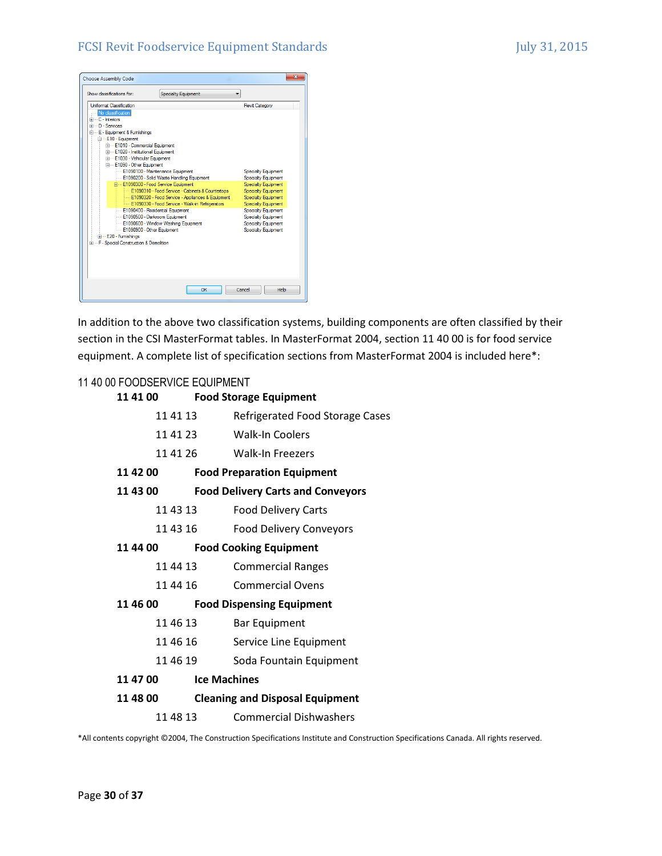

In addition to the above two classification systems, building components are often classified by their section in the CSI MasterFormat tables. In MasterFormat 2004, section 11 40 00 is for food service equipment. A complete list of specification sections from MasterFormat 2004 is included here\*:

#### 11 40 00 FOODSERVICE EQUIPMENT

| 11 41 00 |                     | <b>Food Storage Equipment</b>            |
|----------|---------------------|------------------------------------------|
| 11 41 13 |                     | Refrigerated Food Storage Cases          |
| 11 41 23 |                     | <b>Walk-In Coolers</b>                   |
| 11 41 26 |                     | Walk-In Freezers                         |
| 11 42 00 |                     | <b>Food Preparation Equipment</b>        |
| 11 43 00 |                     | <b>Food Delivery Carts and Conveyors</b> |
| 11 43 13 |                     | <b>Food Delivery Carts</b>               |
| 11 43 16 |                     | <b>Food Delivery Conveyors</b>           |
| 11 44 00 |                     | <b>Food Cooking Equipment</b>            |
| 11 44 13 |                     | <b>Commercial Ranges</b>                 |
| 11 44 16 |                     | <b>Commercial Ovens</b>                  |
| 11 46 00 |                     | <b>Food Dispensing Equipment</b>         |
| 11 46 13 |                     | <b>Bar Equipment</b>                     |
| 11 46 16 |                     | Service Line Equipment                   |
| 11 46 19 |                     | Soda Fountain Equipment                  |
| 11 47 00 | <b>Ice Machines</b> |                                          |
| 11 48 00 |                     | <b>Cleaning and Disposal Equipment</b>   |
| 11 48 13 |                     | <b>Commercial Dishwashers</b>            |

\*All contents copyright ©2004, The Construction Specifications Institute and Construction Specifications Canada. All rights reserved.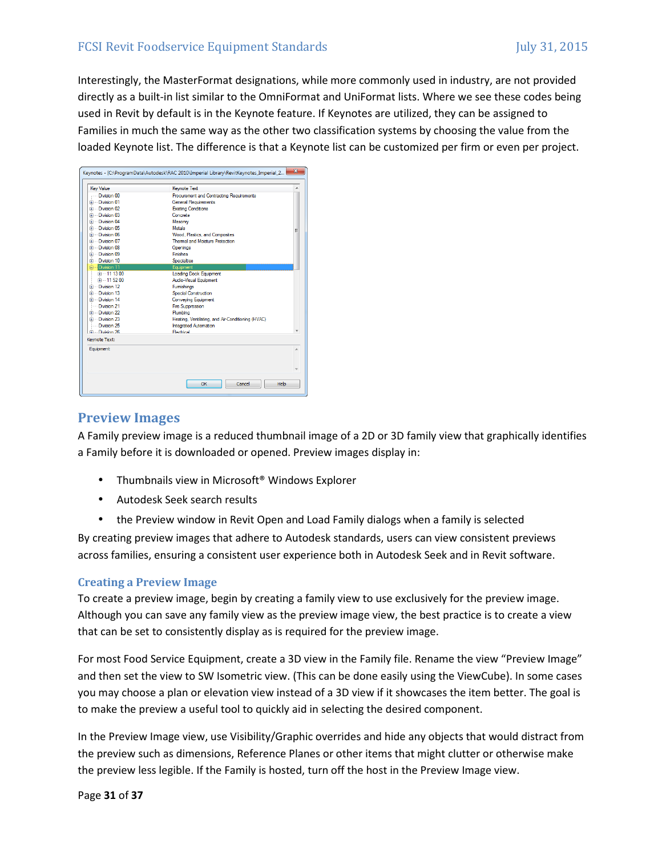Interestingly, the MasterFormat designations, while more commonly used in industry, are not provided directly as a built-in list similar to the OmniFormat and UniFormat lists. Where we see these codes being used in Revit by default is in the Keynote feature. If Keynotes are utilized, they can be assigned to Families in much the same way as the other two classification systems by choosing the value from the loaded Keynote list. The difference is that a Keynote list can be customized per firm or even per project.

| <b>Key Value</b>         | Keynote Text                                      |   |  |
|--------------------------|---------------------------------------------------|---|--|
| <b>Division 00</b>       | Procurement and Contracting Requirements          |   |  |
| Division 01              | <b>General Requirements</b>                       |   |  |
| <b>E</b> Division 02     | <b>Existing Conditions</b>                        |   |  |
| Fig. Division 03         | Concrete                                          |   |  |
| <b>E</b> -Division 04    | Masonry                                           |   |  |
| <b>El</b> Division 05    | <b>Metals</b>                                     | Ξ |  |
| <b>E</b> -Division 06    | Wood, Plastics, and Composites                    |   |  |
| <b>El</b> -Division 07   | Themal and Moisture Protection                    |   |  |
| <b>E</b> Division 08     | <b>Openings</b>                                   |   |  |
| <b>Division 09</b>       | Finishes                                          |   |  |
| <b>El</b> -Division 10   | <b>Specialties</b>                                |   |  |
| <b>Elect Division 11</b> | <b>Fouinment</b>                                  |   |  |
| 中一11 13 00               | Loading Dock Equipment                            |   |  |
| 中一11.52.00               | Audio-Visual Equipment                            |   |  |
| <b>E</b> Division 12     | <b>Furnishings</b>                                |   |  |
| Division 13              | <b>Special Construction</b>                       |   |  |
| <b>El</b> Division 14    | <b>Conveying Equipment</b>                        |   |  |
| Division 21              | <b>Fire Sunnression</b>                           |   |  |
| <b>E</b> Division 22     | Plumbina                                          |   |  |
| <b>Division 23</b>       | Heating, Ventilating, and Air-Conditioning (HVAC) |   |  |
| Division 25              | <b>Integrated Automation</b>                      |   |  |
| Fille Division 26        | Flectrical                                        |   |  |
| Kevnote Text:            |                                                   |   |  |
| Equipment                |                                                   | × |  |
|                          |                                                   |   |  |
|                          |                                                   |   |  |
|                          |                                                   |   |  |

#### **Preview Images**

A Family preview image is a reduced thumbnail image of a 2D or 3D family view that graphically identifies a Family before it is downloaded or opened. Preview images display in:

- Thumbnails view in Microsoft<sup>®</sup> Windows Explorer
- Autodesk Seek search results
- the Preview window in Revit Open and Load Family dialogs when a family is selected

By creating preview images that adhere to Autodesk standards, users can view consistent previews across families, ensuring a consistent user experience both in Autodesk Seek and in Revit software.

#### **Creating a Preview Image**

To create a preview image, begin by creating a family view to use exclusively for the preview image. Although you can save any family view as the preview image view, the best practice is to create a view that can be set to consistently display as is required for the preview image.

For most Food Service Equipment, create a 3D view in the Family file. Rename the view "Preview Image" and then set the view to SW Isometric view. (This can be done easily using the ViewCube). In some cases you may choose a plan or elevation view instead of a 3D view if it showcases the item better. The goal is to make the preview a useful tool to quickly aid in selecting the desired component.

In the Preview Image view, use Visibility/Graphic overrides and hide any objects that would distract from the preview such as dimensions, Reference Planes or other items that might clutter or otherwise make the preview less legible. If the Family is hosted, turn off the host in the Preview Image view.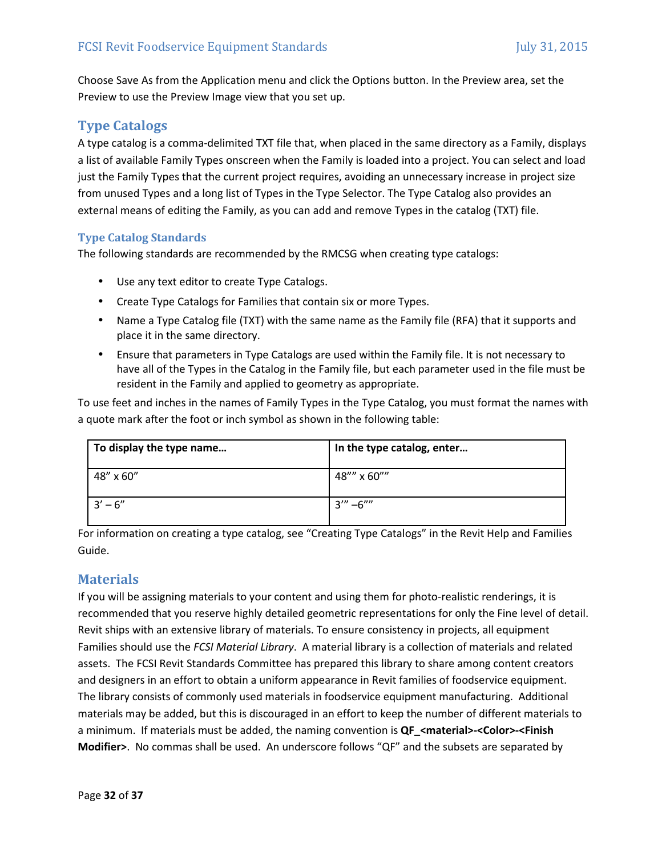Choose Save As from the Application menu and click the Options button. In the Preview area, set the Preview to use the Preview Image view that you set up.

# **Type Catalogs**

A type catalog is a comma‐delimited TXT file that, when placed in the same directory as a Family, displays a list of available Family Types onscreen when the Family is loaded into a project. You can select and load just the Family Types that the current project requires, avoiding an unnecessary increase in project size from unused Types and a long list of Types in the Type Selector. The Type Catalog also provides an external means of editing the Family, as you can add and remove Types in the catalog (TXT) file.

#### **Type Catalog Standards**

The following standards are recommended by the RMCSG when creating type catalogs:

- Use any text editor to create Type Catalogs.
- Create Type Catalogs for Families that contain six or more Types.
- Name a Type Catalog file (TXT) with the same name as the Family file (RFA) that it supports and place it in the same directory.
- Ensure that parameters in Type Catalogs are used within the Family file. It is not necessary to have all of the Types in the Catalog in the Family file, but each parameter used in the file must be resident in the Family and applied to geometry as appropriate.

To use feet and inches in the names of Family Types in the Type Catalog, you must format the names with a quote mark after the foot or inch symbol as shown in the following table:

| To display the type name | In the type catalog, enter |
|--------------------------|----------------------------|
| 48" x 60"                | 48"" x 60""                |
| $3' - 6''$               | $3'' - 6'''$               |

For information on creating a type catalog, see "Creating Type Catalogs" in the Revit Help and Families Guide.

# **Materials**

If you will be assigning materials to your content and using them for photo-realistic renderings, it is recommended that you reserve highly detailed geometric representations for only the Fine level of detail. Revit ships with an extensive library of materials. To ensure consistency in projects, all equipment Families should use the *FCSI Material Library*. A material library is a collection of materials and related assets. The FCSI Revit Standards Committee has prepared this library to share among content creators and designers in an effort to obtain a uniform appearance in Revit families of foodservice equipment. The library consists of commonly used materials in foodservice equipment manufacturing. Additional materials may be added, but this is discouraged in an effort to keep the number of different materials to a minimum. If materials must be added, the naming convention is **QF\_<material>-<Color>-<Finish Modifier>**. No commas shall be used. An underscore follows "QF" and the subsets are separated by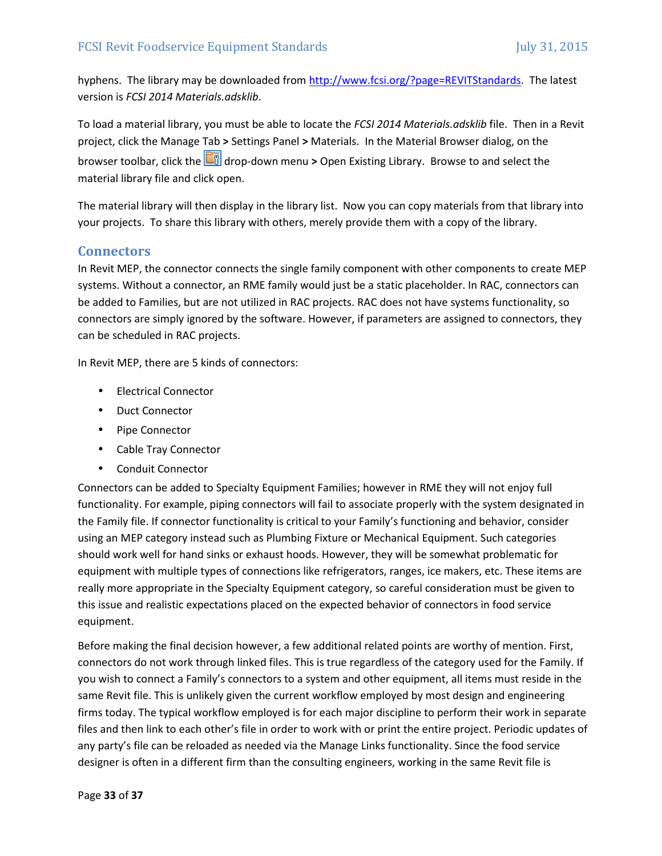hyphens. The library may be downloaded from http://www.fcsi.org/?page=REVITStandards. The latest version is *FCSI 2014 Materials.adsklib*.

To load a material library, you must be able to locate the *FCSI 2014 Materials.adsklib* file. Then in a Revit project, click the Manage Tab **>** Settings Panel **>** Materials. In the Material Browser dialog, on the browser toolbar, click the **drop-down menu > Open Existing Library.** Browse to and select the material library file and click open.

The material library will then display in the library list. Now you can copy materials from that library into your projects. To share this library with others, merely provide them with a copy of the library.

#### **Connectors**

In Revit MEP, the connector connects the single family component with other components to create MEP systems. Without a connector, an RME family would just be a static placeholder. In RAC, connectors can be added to Families, but are not utilized in RAC projects. RAC does not have systems functionality, so connectors are simply ignored by the software. However, if parameters are assigned to connectors, they can be scheduled in RAC projects.

In Revit MEP, there are 5 kinds of connectors:

- Electrical Connector
- Duct Connector
- Pipe Connector
- Cable Tray Connector
- Conduit Connector

Connectors can be added to Specialty Equipment Families; however in RME they will not enjoy full functionality. For example, piping connectors will fail to associate properly with the system designated in the Family file. If connector functionality is critical to your Family's functioning and behavior, consider using an MEP category instead such as Plumbing Fixture or Mechanical Equipment. Such categories should work well for hand sinks or exhaust hoods. However, they will be somewhat problematic for equipment with multiple types of connections like refrigerators, ranges, ice makers, etc. These items are really more appropriate in the Specialty Equipment category, so careful consideration must be given to this issue and realistic expectations placed on the expected behavior of connectors in food service equipment.

Before making the final decision however, a few additional related points are worthy of mention. First, connectors do not work through linked files. This is true regardless of the category used for the Family. If you wish to connect a Family's connectors to a system and other equipment, all items must reside in the same Revit file. This is unlikely given the current workflow employed by most design and engineering firms today. The typical workflow employed is for each major discipline to perform their work in separate files and then link to each other's file in order to work with or print the entire project. Periodic updates of any party's file can be reloaded as needed via the Manage Links functionality. Since the food service designer is often in a different firm than the consulting engineers, working in the same Revit file is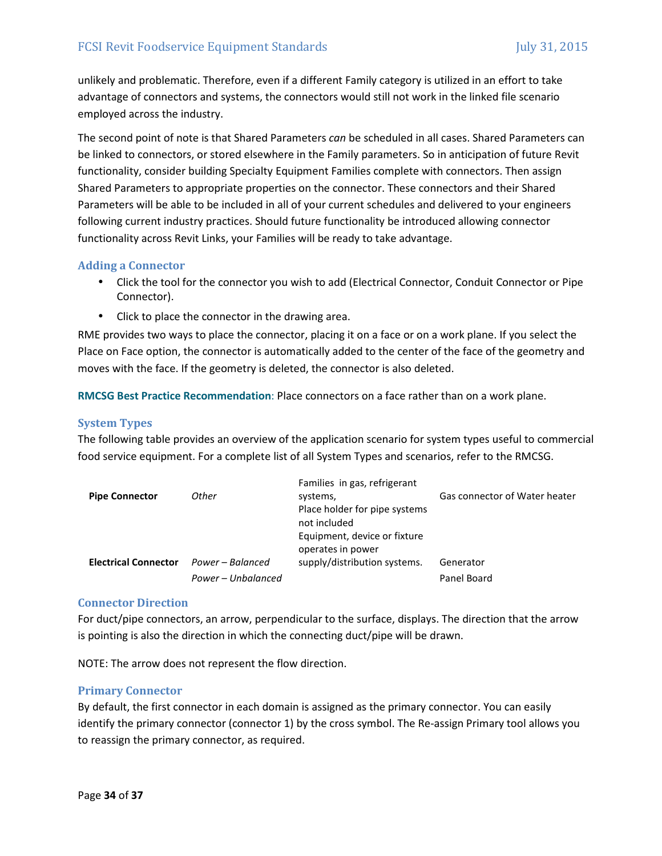unlikely and problematic. Therefore, even if a different Family category is utilized in an effort to take advantage of connectors and systems, the connectors would still not work in the linked file scenario employed across the industry.

The second point of note is that Shared Parameters *can* be scheduled in all cases. Shared Parameters can be linked to connectors, or stored elsewhere in the Family parameters. So in anticipation of future Revit functionality, consider building Specialty Equipment Families complete with connectors. Then assign Shared Parameters to appropriate properties on the connector. These connectors and their Shared Parameters will be able to be included in all of your current schedules and delivered to your engineers following current industry practices. Should future functionality be introduced allowing connector functionality across Revit Links, your Families will be ready to take advantage.

#### **Adding a Connector**

- Click the tool for the connector you wish to add (Electrical Connector, Conduit Connector or Pipe Connector).
- Click to place the connector in the drawing area.

RME provides two ways to place the connector, placing it on a face or on a work plane. If you select the Place on Face option, the connector is automatically added to the center of the face of the geometry and moves with the face. If the geometry is deleted, the connector is also deleted.

**RMCSG Best Practice Recommendation**: Place connectors on a face rather than on a work plane.

#### **System Types**

The following table provides an overview of the application scenario for system types useful to commercial food service equipment. For a complete list of all System Types and scenarios, refer to the RMCSG.

|                    | Families in gas, refrigerant  |                               |
|--------------------|-------------------------------|-------------------------------|
| Other              | systems,                      | Gas connector of Water heater |
|                    | Place holder for pipe systems |                               |
|                    | not included                  |                               |
|                    | Equipment, device or fixture  |                               |
|                    | operates in power             |                               |
| Power – Balanced   | supply/distribution systems.  | Generator                     |
| Power - Unbalanced |                               | Panel Board                   |
|                    |                               |                               |

#### **Connector Direction**

For duct/pipe connectors, an arrow, perpendicular to the surface, displays. The direction that the arrow is pointing is also the direction in which the connecting duct/pipe will be drawn.

NOTE: The arrow does not represent the flow direction.

#### **Primary Connector**

By default, the first connector in each domain is assigned as the primary connector. You can easily identify the primary connector (connector 1) by the cross symbol. The Re‐assign Primary tool allows you to reassign the primary connector, as required.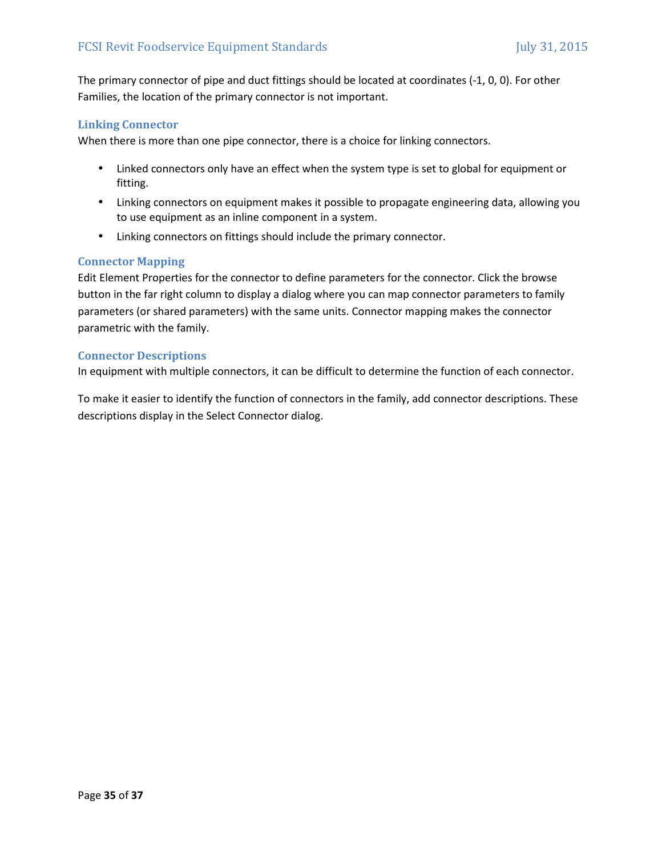The primary connector of pipe and duct fittings should be located at coordinates (‐1, 0, 0). For other Families, the location of the primary connector is not important.

#### **Linking Connector**

When there is more than one pipe connector, there is a choice for linking connectors.

- Linked connectors only have an effect when the system type is set to global for equipment or fitting.
- Linking connectors on equipment makes it possible to propagate engineering data, allowing you to use equipment as an inline component in a system.
- Linking connectors on fittings should include the primary connector.

#### **Connector Mapping**

Edit Element Properties for the connector to define parameters for the connector. Click the browse button in the far right column to display a dialog where you can map connector parameters to family parameters (or shared parameters) with the same units. Connector mapping makes the connector parametric with the family.

#### **Connector Descriptions**

In equipment with multiple connectors, it can be difficult to determine the function of each connector.

To make it easier to identify the function of connectors in the family, add connector descriptions. These descriptions display in the Select Connector dialog.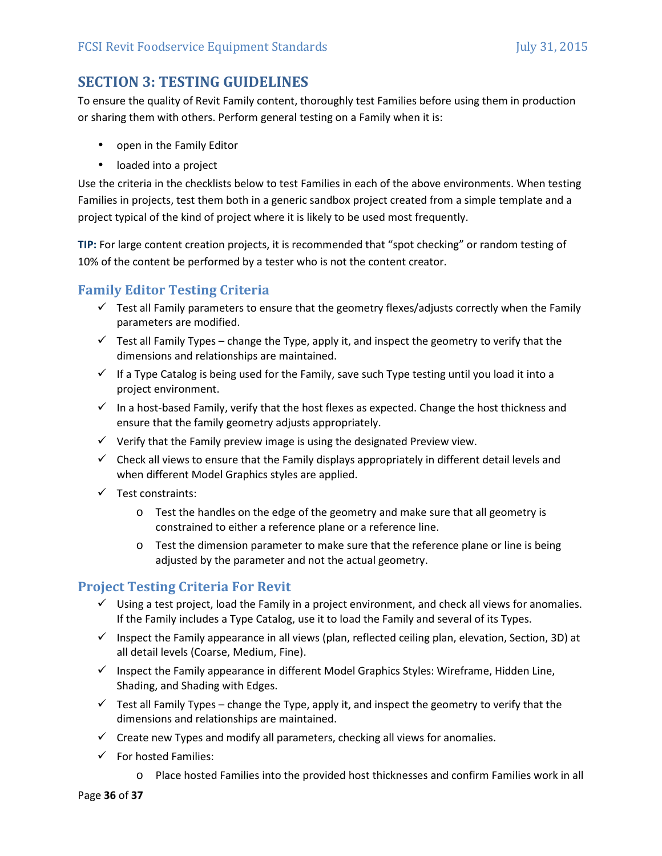# **SECTION 3: TESTING GUIDELINES**

To ensure the quality of Revit Family content, thoroughly test Families before using them in production or sharing them with others. Perform general testing on a Family when it is:

- open in the Family Editor
- loaded into a project

Use the criteria in the checklists below to test Families in each of the above environments. When testing Families in projects, test them both in a generic sandbox project created from a simple template and a project typical of the kind of project where it is likely to be used most frequently.

**TIP:** For large content creation projects, it is recommended that "spot checking" or random testing of 10% of the content be performed by a tester who is not the content creator.

# **Family Editor Testing Criteria**

- $\checkmark$  Test all Family parameters to ensure that the geometry flexes/adjusts correctly when the Family parameters are modified.
- $\checkmark$  Test all Family Types change the Type, apply it, and inspect the geometry to verify that the dimensions and relationships are maintained.
- $\checkmark$  If a Type Catalog is being used for the Family, save such Type testing until you load it into a project environment.
- $\checkmark$  In a host-based Family, verify that the host flexes as expected. Change the host thickness and ensure that the family geometry adjusts appropriately.
- $\checkmark$  Verify that the Family preview image is using the designated Preview view.
- $\checkmark$  Check all views to ensure that the Family displays appropriately in different detail levels and when different Model Graphics styles are applied.
- $\checkmark$  Test constraints:
	- o Test the handles on the edge of the geometry and make sure that all geometry is constrained to either a reference plane or a reference line.
	- o Test the dimension parameter to make sure that the reference plane or line is being adjusted by the parameter and not the actual geometry.

# **Project Testing Criteria For Revit**

- $\checkmark$  Using a test project, load the Family in a project environment, and check all views for anomalies. If the Family includes a Type Catalog, use it to load the Family and several of its Types.
- Inspect the Family appearance in all views (plan, reflected ceiling plan, elevation, Section, 3D) at all detail levels (Coarse, Medium, Fine).
- $\checkmark$  Inspect the Family appearance in different Model Graphics Styles: Wireframe, Hidden Line, Shading, and Shading with Edges.
- $\checkmark$  Test all Family Types change the Type, apply it, and inspect the geometry to verify that the dimensions and relationships are maintained.
- $\checkmark$  Create new Types and modify all parameters, checking all views for anomalies.
- $\checkmark$  For hosted Families:
	- o Place hosted Families into the provided host thicknesses and confirm Families work in all